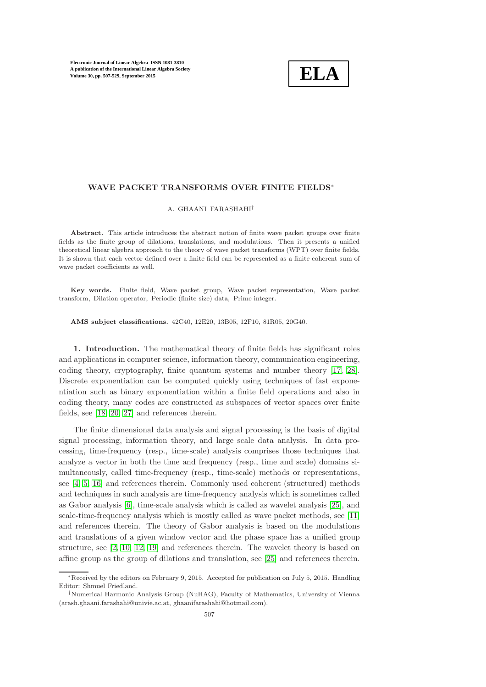

## WAVE PACKET TRANSFORMS OVER FINITE FIELDS<sup>∗</sup>

# A. GHAANI FARASHAHI†

Abstract. This article introduces the abstract notion of finite wave packet groups over finite fields as the finite group of dilations, translations, and modulations. Then it presents a unified theoretical linear algebra approach to the theory of wave packet transforms (WPT) over finite fields. It is shown that each vector defined over a finite field can be represented as a finite coherent sum of wave packet coefficients as well.

Key words. Finite field, Wave packet group, Wave packet representation, Wave packet transform, Dilation operator, Periodic (finite size) data, Prime integer.

AMS subject classifications. 42C40, 12E20, 13B05, 12F10, 81R05, 20G40.

1. Introduction. The mathematical theory of finite fields has significant roles and applications in computer science, information theory, communication engineering, coding theory, cryptography, finite quantum systems and number theory [\[17,](#page-21-0) [28\]](#page-22-0). Discrete exponentiation can be computed quickly using techniques of fast exponentiation such as binary exponentiation within a finite field operations and also in coding theory, many codes are constructed as subspaces of vector spaces over finite fields, see [\[18,](#page-21-1) [20,](#page-21-2) [27\]](#page-22-1) and references therein.

The finite dimensional data analysis and signal processing is the basis of digital signal processing, information theory, and large scale data analysis. In data processing, time-frequency (resp., time-scale) analysis comprises those techniques that analyze a vector in both the time and frequency (resp., time and scale) domains simultaneously, called time-frequency (resp., time-scale) methods or representations, see [\[4,](#page-21-3) [5,](#page-21-4) [16\]](#page-21-5) and references therein. Commonly used coherent (structured) methods and techniques in such analysis are time-frequency analysis which is sometimes called as Gabor analysis [\[6\]](#page-21-6), time-scale analysis which is called as wavelet analysis [\[25\]](#page-22-2), and scale-time-frequency analysis which is mostly called as wave packet methods, see [\[11\]](#page-21-7) and references therein. The theory of Gabor analysis is based on the modulations and translations of a given window vector and the phase space has a unified group structure, see [\[2,](#page-21-8) [10,](#page-21-9) [12,](#page-21-10) [19\]](#page-21-11) and references therein. The wavelet theory is based on affine group as the group of dilations and translation, see [\[25\]](#page-22-2) and references therein.

<sup>∗</sup>Received by the editors on February 9, 2015. Accepted for publication on July 5, 2015. Handling Editor: Shmuel Friedland.

<sup>†</sup>Numerical Harmonic Analysis Group (NuHAG), Faculty of Mathematics, University of Vienna (arash.ghaani.farashahi@univie.ac.at, ghaanifarashahi@hotmail.com).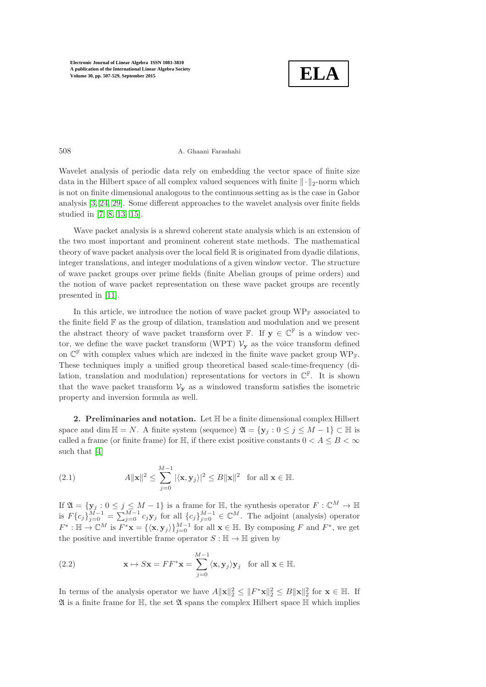

#### 508 A. Ghaani Farashahi

Wavelet analysis of periodic data rely on embedding the vector space of finite size data in the Hilbert space of all complex valued sequences with finite  $\|\cdot\|_2$ -norm which is not on finite dimensional analogous to the continuous setting as is the case in Gabor analysis [\[3,](#page-21-12) [24,](#page-21-13) [29\]](#page-22-3). Some different approaches to the wavelet analysis over finite fields studied in [\[7,](#page-21-14) [8,](#page-21-15) [13,](#page-21-16) [15\]](#page-21-17).

Wave packet analysis is a shrewd coherent state analysis which is an extension of the two most important and prominent coherent state methods. The mathematical theory of wave packet analysis over the local field R is originated from dyadic dilations, integer translations, and integer modulations of a given window vector. The structure of wave packet groups over prime fields (finite Abelian groups of prime orders) and the notion of wave packet representation on these wave packet groups are recently presented in [\[11\]](#page-21-7).

In this article, we introduce the notion of wave packet group  $\text{WP}_{\mathbb{F}}$  associated to the finite field  $\mathbb F$  as the group of dilation, translation and modulation and we present the abstract theory of wave packet transform over  $\mathbb{F}$ . If  $y \in \mathbb{C}^{\mathbb{F}}$  is a window vector, we define the wave packet transform (WPT)  $V_{\mathbf{v}}$  as the voice transform defined on  $\mathbb{C}^{\mathbb{F}}$  with complex values which are indexed in the finite wave packet group  $\text{WP}_{\mathbb{F}}$ . These techniques imply a unified group theoretical based scale-time-frequency (dilation, translation and modulation) representations for vectors in  $\mathbb{C}^{\mathbb{F}}$ . It is shown that the wave packet transform  $V_{\mathbf{y}}$  as a windowed transform satisfies the isometric property and inversion formula as well.

2. Preliminaries and notation. Let  $\mathbb H$  be a finite dimensional complex Hilbert space and dim  $\mathbb{H} = N$ . A finite system (sequence)  $\mathfrak{A} = \{y_i : 0 \leq j \leq M - 1\} \subset \mathbb{H}$  is called a frame (or finite frame) for  $\mathbb{H}$ , if there exist positive constants  $0 < A \leq B < \infty$ such that [\[4\]](#page-21-3)

(2.1) 
$$
A \|\mathbf{x}\|^2 \leq \sum_{j=0}^{M-1} |\langle \mathbf{x}, \mathbf{y}_j \rangle|^2 \leq B \|\mathbf{x}\|^2 \text{ for all } \mathbf{x} \in \mathbb{H}.
$$

If  $\mathfrak{A} = \{y_j : 0 \le j \le M - 1\}$  is a frame for  $\mathbb{H}$ , the synthesis operator  $F : \mathbb{C}^M \to \mathbb{H}$ is  $F\{c_j\}_{j=0}^{M-1} = \sum_{j=0}^{M-1} c_j \mathbf{y}_j$  for all  $\{c_j\}_{j=0}^{M-1} \in \mathbb{C}^M$ . The adjoint (analysis) operator  $F^*: \mathbb{H} \to \mathbb{C}^M$  is  $F^* \mathbf{x} = {\langle \langle \mathbf{x}, \mathbf{y}_j \rangle \}_{j=0}^{M-1}$  for all  $\mathbf{x} \in \mathbb{H}$ . By composing F and  $F^*$ , we get the positive and invertible frame operator  $S : \mathbb{H} \to \mathbb{H}$  given by

(2.2) 
$$
\mathbf{x} \mapsto S\mathbf{x} = FF^* \mathbf{x} = \sum_{j=0}^{M-1} \langle \mathbf{x}, \mathbf{y}_j \rangle \mathbf{y}_j \text{ for all } \mathbf{x} \in \mathbb{H}.
$$

In terms of the analysis operator we have  $A\|\mathbf{x}\|_2^2 \leq \|F^*\mathbf{x}\|_2^2 \leq B\|\mathbf{x}\|_2^2$  for  $\mathbf{x} \in \mathbb{H}$ . If  $\mathfrak A$  is a finite frame for  $\mathbb H$ , the set  $\mathfrak A$  spans the complex Hilbert space  $\mathbb H$  which implies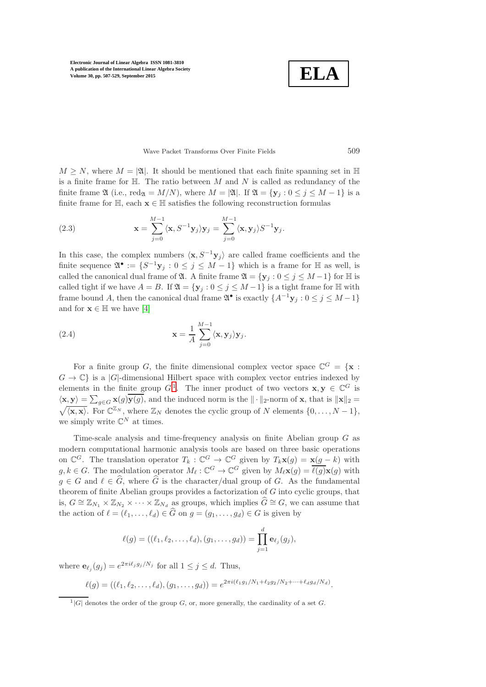**ELA**

#### Wave Packet Transforms Over Finite Fields 509

 $M \geq N$ , where  $M = |\mathfrak{A}|$ . It should be mentioned that each finite spanning set in H is a finite frame for  $\mathbb H$ . The ratio between M and N is called as redundancy of the finite frame  $\mathfrak{A}$  (i.e., red<sub> $\mathfrak{A} = M/N$ ), where  $M = |\mathfrak{A}|$ . If  $\mathfrak{A} = \{y_i : 0 \leq j \leq M - 1\}$  is a</sub> finite frame for  $\mathbb{H}$ , each  $\mathbf{x} \in \mathbb{H}$  satisfies the following reconstruction formulas

(2.3) 
$$
\mathbf{x} = \sum_{j=0}^{M-1} \langle \mathbf{x}, S^{-1} \mathbf{y}_j \rangle \mathbf{y}_j = \sum_{j=0}^{M-1} \langle \mathbf{x}, \mathbf{y}_j \rangle S^{-1} \mathbf{y}_j.
$$

In this case, the complex numbers  $\langle x, S^{-1}y_j \rangle$  are called frame coefficients and the finite sequence  $\mathfrak{A}^{\bullet} := \{S^{-1}y_j : 0 \leq j \leq M - 1\}$  which is a frame for  $\mathbb H$  as well, is called the canonical dual frame of  $\mathfrak{A}$ . A finite frame  $\mathfrak{A} = {\bf y}_i : 0 \leq j \leq M-1$  for  $\mathbb H$  is called tight if we have  $A = B$ . If  $\mathfrak{A} = \{y_j : 0 \le j \le M-1\}$  is a tight frame for  $\mathbb H$  with frame bound A, then the canonical dual frame  $\mathfrak{A}^{\bullet}$  is exactly  $\{A^{-1}\mathbf{y}_j : 0 \le j \le M-1\}$ and for  $\mathbf{x} \in \mathbb{H}$  we have [\[4\]](#page-21-3)

(2.4) 
$$
\mathbf{x} = \frac{1}{A} \sum_{j=0}^{M-1} \langle \mathbf{x}, \mathbf{y}_j \rangle \mathbf{y}_j.
$$

For a finite group G, the finite dimensional complex vector space  $\mathbb{C}^G = {\mathbf{x}:}$  $G \to \mathbb{C}$  is a |G|-dimensional Hilbert space with complex vector entries indexed by elements in the finite group  $G^1$  $G^1$ . The inner product of two vectors  $\mathbf{x}, \mathbf{y} \in \mathbb{C}^G$  is  $\langle \mathbf{x}, \mathbf{y} \rangle = \sum_{g \in G} \mathbf{x}(g) \overline{\mathbf{y}(g)}$ , and the induced norm is the  $\| \cdot \|_2$ -norm of **x**, that is  $\| \mathbf{x} \|_2 = \sqrt{\langle \mathbf{x}, \mathbf{x} \rangle}$ . For  $\mathbb{C}^{\mathbb{Z}_N}$ , where  $\mathbb{Z}_N$  denotes the cyclic group of N elements  $\{0, \$  $\overline{\langle \mathbf{x}, \mathbf{x} \rangle}$ . For  $\mathbb{C}^{\mathbb{Z}_N}$ , where  $\mathbb{Z}_N$  denotes the cyclic group of N elements  $\{0, \ldots, N-1\}$ , we simply write  $\mathbb{C}^N$  at times.

Time-scale analysis and time-frequency analysis on finite Abelian group  $G$  as modern computational harmonic analysis tools are based on three basic operations on  $\mathbb{C}^G$ . The translation operator  $T_k : \mathbb{C}^G \to \mathbb{C}^G$  given by  $T_k \mathbf{x}(g) = \mathbf{x}(g - k)$  with  $g, k \in G$ . The modulation operator  $M_{\ell}: \mathbb{C}^G \to \mathbb{C}^G$  given by  $M_{\ell}(\mathbf{x}(g)) = \overline{\ell(g)}\mathbf{x}(g)$  with  $g \in G$  and  $\ell \in \widehat{G}$ , where  $\widehat{G}$  is the character/dual group of G. As the fundamental theorem of finite Abelian groups provides a factorization of G into cyclic groups, that is,  $G \cong \mathbb{Z}_{N_1} \times \mathbb{Z}_{N_2} \times \cdots \times \mathbb{Z}_{N_d}$  as groups, which implies  $\widehat{G} \cong G$ , we can assume that the action of  $\ell = (\ell_1, \ldots, \ell_d) \in \widehat{G}$  on  $g = (g_1, \ldots, g_d) \in G$  is given by

$$
\ell(g) = ((\ell_1, \ell_2, \ldots, \ell_d), (g_1, \ldots, g_d)) = \prod_{j=1}^d \mathbf{e}_{\ell_j}(g_j),
$$

where  $\mathbf{e}_{\ell_j}(g_j) = e^{2\pi i \ell_j g_j/N_j}$  for all  $1 \leq j \leq d$ . Thus,

$$
\ell(g) = ((\ell_1, \ell_2, \ldots, \ell_d), (g_1, \ldots, g_d)) = e^{2\pi i (\ell_1 g_1/N_1 + \ell_2 g_2/N_2 + \cdots + \ell_d g_d/N_d)}.
$$

<span id="page-2-0"></span> $1|G|$  denotes the order of the group G, or, more generally, the cardinality of a set G.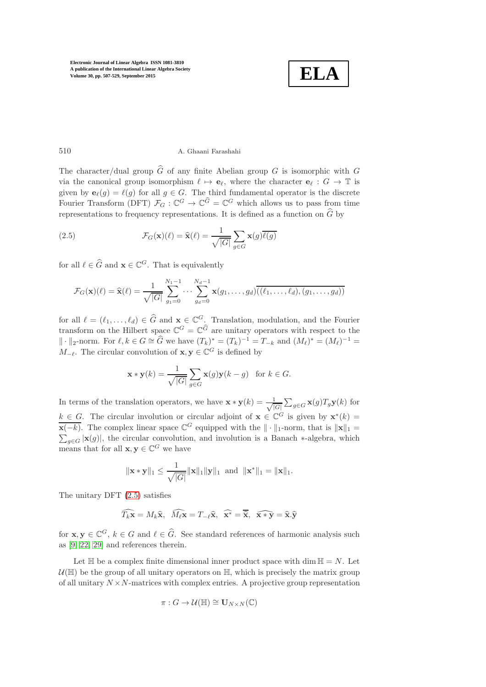

# 510 A. Ghaani Farashahi

The character/dual group  $\widehat{G}$  of any finite Abelian group G is isomorphic with G via the canonical group isomorphism  $\ell \mapsto e_{\ell}$ , where the character  $e_{\ell}: G \to \mathbb{T}$  is given by  $e_{\ell}(g) = \ell(g)$  for all  $g \in G$ . The third fundamental operator is the discrete Fourier Transform (DFT)  $\mathcal{F}_G : \mathbb{C}^G \to \mathbb{C}^{\widehat{G}} = \mathbb{C}^G$  which allows us to pass from time representations to frequency representations. It is defined as a function on  $\widehat{G}$  by

<span id="page-3-0"></span>(2.5) 
$$
\mathcal{F}_G(\mathbf{x})(\ell) = \widehat{\mathbf{x}}(\ell) = \frac{1}{\sqrt{|G|}} \sum_{g \in G} \mathbf{x}(g) \overline{\ell(g)}
$$

for all  $\ell \in \widehat{G}$  and  $\mathbf{x} \in \mathbb{C}^G$ . That is equivalently

$$
\mathcal{F}_G(\mathbf{x})(\ell) = \widehat{\mathbf{x}}(\ell) = \frac{1}{\sqrt{|G|}} \sum_{g_1=0}^{N_1-1} \cdots \sum_{g_d=0}^{N_d-1} \mathbf{x}(g_1, \ldots, g_d) \overline{((\ell_1, \ldots, \ell_d), (g_1, \ldots, g_d))}
$$

for all  $\ell = (\ell_1, \ldots, \ell_d) \in \widehat{G}$  and  $\mathbf{x} \in \mathbb{C}^G$ . Translation, modulation, and the Fourier transform on the Hilbert space  $\mathbb{C}^G = \mathbb{C}^{\widehat{G}}$  are unitary operators with respect to the  $\|\cdot\|_2$ -norm. For  $\ell, k \in G \cong \widehat{G}$  we have  $(T_k)^* = (T_k)^{-1} = T_{-k}$  and  $(M_\ell)^* = (M_\ell)^{-1} =$  $M_{-\ell}$ . The circular convolution of **x**, **y**  $\in \mathbb{C}^G$  is defined by

$$
\mathbf{x} * \mathbf{y}(k) = \frac{1}{\sqrt{|G|}} \sum_{g \in G} \mathbf{x}(g) \mathbf{y}(k - g) \quad \text{for } k \in G.
$$

In terms of the translation operators, we have  $\mathbf{x} * \mathbf{y}(k) = \frac{1}{\sqrt{k}}$  $\frac{1}{|G|} \sum_{g \in G} \mathbf{x}(g) T_g \mathbf{y}(k)$  for  $k \in G$ . The circular involution or circular adjoint of  $\mathbf{x} \in \mathbb{C}^G$  is given by  $\mathbf{x}^*(k) =$  $\overline{\mathbf{x}(-k)}$ . The complex linear space  $\mathbb{C}^G$  equipped with the  $\|\cdot\|_1$ -norm, that is  $\|\mathbf{x}\|_1 =$  $\overline{\mathbf{x}(-k)}$ . The complex linear space  $\mathbb{C}^G$  equipped with the  $\|\cdot\|_1$ -norm, that is  $\|\mathbf{x}\|_1 = \sum_{g \in G} |\mathbf{x}(g)|$ , the circular convolution, and involution is a Banach ∗-algebra, which means that for all  $\mathbf{x}, \mathbf{y} \in \mathbb{C}^G$  we have

$$
\|\mathbf{x} * \mathbf{y}\|_1 \le \frac{1}{\sqrt{|G|}} \|\mathbf{x}\|_1 \|\mathbf{y}\|_1
$$
 and  $\|\mathbf{x}^*\|_1 = \|\mathbf{x}\|_1$ .

The unitary DFT [\(2.5\)](#page-3-0) satisfies

$$
\widehat{T_k \mathbf{x}} = M_k \widehat{\mathbf{x}}, \quad \widehat{M_\ell \mathbf{x}} = T_{-\ell} \widehat{\mathbf{x}}, \quad \widehat{\mathbf{x}^*} = \overline{\widehat{\mathbf{x}}}, \quad \widehat{\mathbf{x} \cdot \mathbf{y}} = \widehat{\mathbf{x}} \cdot \widehat{\mathbf{y}}
$$

for  $\mathbf{x}, \mathbf{y} \in \mathbb{C}^G$ ,  $k \in G$  and  $\ell \in \widehat{G}$ . See standard references of harmonic analysis such as [\[9,](#page-21-18) [22,](#page-21-19) [29\]](#page-22-3) and references therein.

Let  $\mathbb{H}$  be a complex finite dimensional inner product space with dim  $\mathbb{H} = N$ . Let  $\mathcal{U}(\mathbb{H})$  be the group of all unitary operators on  $\mathbb{H}$ , which is precisely the matrix group of all unitary  $N \times N$ -matrices with complex entries. A projective group representation

$$
\pi: G \to \mathcal{U}(\mathbb{H}) \cong \mathbf{U}_{N \times N}(\mathbb{C})
$$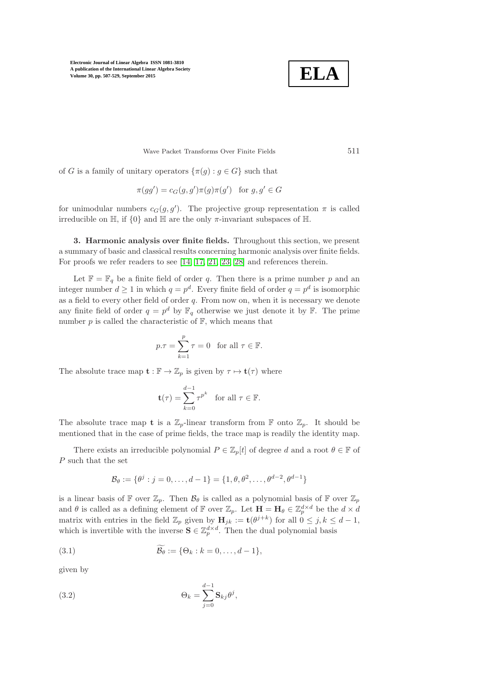

Wave Packet Transforms Over Finite Fields 511

of G is a family of unitary operators  $\{\pi(g) : g \in G\}$  such that

$$
\pi(gg') = c_G(g, g')\pi(g)\pi(g') \text{ for } g, g' \in G
$$

for unimodular numbers  $c_G(g, g')$ . The projective group representation  $\pi$  is called irreducible on  $\mathbb{H}$ , if  $\{0\}$  and  $\mathbb{H}$  are the only  $\pi$ -invariant subspaces of  $\mathbb{H}$ .

3. Harmonic analysis over finite fields. Throughout this section, we present a summary of basic and classical results concerning harmonic analysis over finite fields. For proofs we refer readers to see [\[14,](#page-21-20) [17,](#page-21-0) [21,](#page-21-21) [23,](#page-21-22) [28\]](#page-22-0) and references therein.

Let  $\mathbb{F} = \mathbb{F}_q$  be a finite field of order q. Then there is a prime number p and an integer number  $d \geq 1$  in which  $q = p^d$ . Every finite field of order  $q = p^d$  is isomorphic as a field to every other field of order  $q$ . From now on, when it is necessary we denote any finite field of order  $q = p^d$  by  $\mathbb{F}_q$  otherwise we just denote it by  $\mathbb{F}$ . The prime number  $p$  is called the characteristic of  $\mathbb{F}$ , which means that

$$
p.\tau = \sum_{k=1}^{p} \tau = 0 \text{ for all } \tau \in \mathbb{F}.
$$

The absolute trace map  $\mathbf{t} : \mathbb{F} \to \mathbb{Z}_p$  is given by  $\tau \mapsto \mathbf{t}(\tau)$  where

$$
\mathbf{t}(\tau) = \sum_{k=0}^{d-1} \tau^{p^k} \quad \text{for all } \tau \in \mathbb{F}.
$$

The absolute trace map **t** is a  $\mathbb{Z}_p$ -linear transform from  $\mathbb{F}$  onto  $\mathbb{Z}_p$ . It should be mentioned that in the case of prime fields, the trace map is readily the identity map.

There exists an irreducible polynomial  $P \in \mathbb{Z}_p[t]$  of degree d and a root  $\theta \in \mathbb{F}$  of P such that the set

$$
\mathcal{B}_{\theta} := \{ \theta^j : j = 0, \dots, d - 1 \} = \{ 1, \theta, \theta^2, \dots, \theta^{d-2}, \theta^{d-1} \}
$$

is a linear basis of  $\mathbb F$  over  $\mathbb{Z}_p$ . Then  $\mathcal{B}_\theta$  is called as a polynomial basis of  $\mathbb F$  over  $\mathbb{Z}_p$ and  $\theta$  is called as a defining element of  $\mathbb F$  over  $\mathbb{Z}_p$ . Let  $\mathbf{H} = \mathbf{H}_{\theta} \in \mathbb{Z}_p^{d \times d}$  be the  $d \times d$ matrix with entries in the field  $\mathbb{Z}_p$  given by  $\mathbf{H}_{jk} := \mathbf{t}(\theta^{j+k})$  for all  $0 \leq j, k \leq d-1$ , which is invertible with the inverse  $\mathbf{S} \in \mathbb{Z}_p^{d \times d}$ . Then the dual polynomial basis

(3.1) 
$$
\widetilde{\mathcal{B}}_{\theta} := \{ \Theta_k : k = 0, \ldots, d - 1 \},
$$

given by

(3.2) 
$$
\Theta_k = \sum_{j=0}^{d-1} \mathbf{S}_{kj} \theta^j,
$$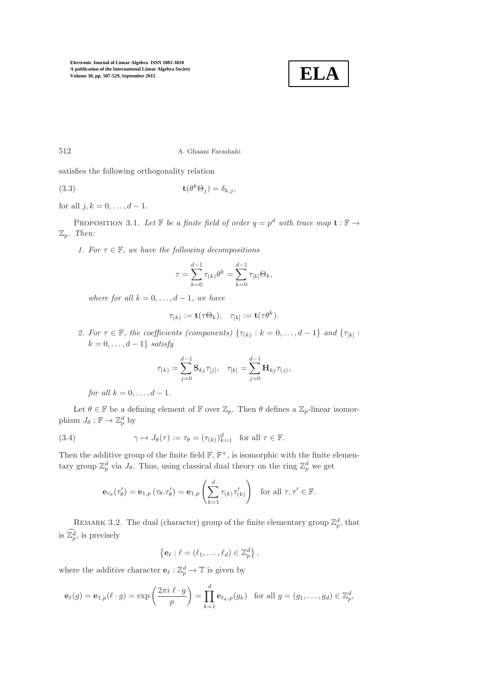

512 A. Ghaani Farashahi

satisfies the following orthogonality relation

(3.3) 
$$
\mathbf{t}(\theta^k \Theta_j) = \delta_{k,j},
$$

for all  $j, k = 0, \ldots, d - 1$ .

PROPOSITION 3.1. Let  $\mathbb F$  be a finite field of order  $q = p^d$  with trace map  $\mathbf t : \mathbb F \to$  $\mathbb{Z}_p$ . Then:

1. For  $\tau \in \mathbb{F}$ , we have the following decompositions

$$
\tau=\sum_{k=0}^{d-1}\tau_{(k)}\theta^k=\sum_{k=0}^{d-1}\tau_{[k]}\Theta_k,
$$

where for all  $k = 0, \ldots, d - 1$ , we have

$$
\tau_{(k)} := \mathbf{t}(\tau \Theta_k), \quad \tau_{[k]} := \mathbf{t}(\tau \theta^k).
$$

2. For  $\tau \in \mathbb{F}$ , the coefficients (components)  $\{\tau_{(k)} : k = 0, \ldots, d-1\}$  and  $\{\tau_{[k]} :$  $k = 0, \ldots, d - 1$ } satisfy

$$
\tau_{(k)} = \sum_{j=0}^{d-1} \mathbf{S}_{kj} \tau_{[j]}, \quad \tau_{[k]} = \sum_{j=0}^{d-1} \mathbf{H}_{kj} \tau_{(j)},
$$

for all  $k = 0, \ldots, d - 1$ .

Let  $\theta \in \mathbb{F}$  be a defining element of  $\mathbb{F}$  over  $\mathbb{Z}_p$ . Then  $\theta$  defines a  $\mathbb{Z}_p$ -linear isomorphism  $J_{\theta} : \mathbb{F} \to \mathbb{Z}_p^d$  by

(3.4) 
$$
\gamma \mapsto J_{\theta}(\tau) := \tau_{\theta} = (\tau_{(k)})_{k=1}^d \text{ for all } \tau \in \mathbb{F}.
$$

Then the additive group of the finite field  $\mathbb{F}, \mathbb{F}^+$ , is isomorphic with the finite elementary group  $\mathbb{Z}_p^d$  via  $J_\theta$ . Thus, using classical dual theory on the ring  $\mathbb{Z}_p^d$  we get

<span id="page-5-0"></span>
$$
\mathbf{e}_{\tau_{\theta}}(\tau_{\theta}') = \mathbf{e}_{1,p}(\tau_{\theta}.\tau_{\theta}') = \mathbf{e}_{1,p}\left(\sum_{k=1}^{d} \tau_{(k)} \tau'_{(k)}\right) \text{ for all } \tau, \tau' \in \mathbb{F}.
$$

REMARK 3.2. The dual (character) group of the finite elementary group  $\mathbb{Z}_p^d$ , that is  $\widehat{\mathbb{Z}_p^d}$ , is precisely

$$
\left\{ \mathbf{e}_{\ell}:\ell=\left(\ell_{1},\ldots,\ell_{d}\right)\in\mathbb{Z}_{p}^{d}\right\} ,
$$

where the additive character  $\mathbf{e}_{\ell} : \mathbb{Z}_p^d \to \mathbb{T}$  is given by

$$
\mathbf{e}_{\ell}(g) = \mathbf{e}_{1,p}(\ell \cdot g) = \exp\left(\frac{2\pi i \ell \cdot g}{p}\right) = \prod_{k=1}^d \mathbf{e}_{\ell_k,p}(g_k) \text{ for all } g = (g_1,\ldots,g_d) \in \mathbb{Z}_p^d,
$$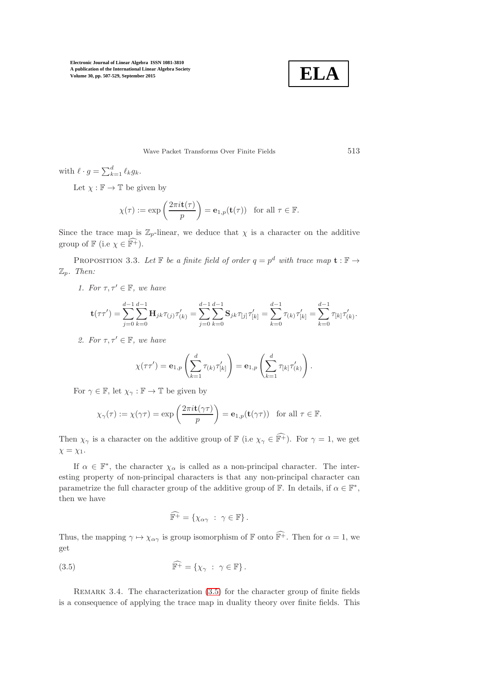

Wave Packet Transforms Over Finite Fields 513

with  $\ell \cdot g = \sum_{k=1}^d \ell_k g_k$ .

Let  $\chi : \mathbb{F} \to \mathbb{T}$  be given by

$$
\chi(\tau) := \exp\left(\frac{2\pi i \mathbf{t}(\tau)}{p}\right) = \mathbf{e}_{1,p}(\mathbf{t}(\tau)) \text{ for all } \tau \in \mathbb{F}.
$$

Since the trace map is  $\mathbb{Z}_p$ -linear, we deduce that  $\chi$  is a character on the additive group of  $\mathbb{F}$  (i.e  $\chi \in \widehat{\mathbb{F}^+}$ ).

PROPOSITION 3.3. Let  $\mathbb F$  be a finite field of order  $q = p^d$  with trace map  $\mathbf t : \mathbb F \to$  $\mathbb{Z}_p$ . Then:

1. For  $\tau, \tau' \in \mathbb{F}$ , we have

$$
\mathbf{t}(\tau\tau') = \sum_{j=0}^{d-1} \sum_{k=0}^{d-1} \mathbf{H}_{jk} \tau_{(j)} \tau'_{(k)} = \sum_{j=0}^{d-1} \sum_{k=0}^{d-1} \mathbf{S}_{jk} \tau_{[j]} \tau'_{[k]} = \sum_{k=0}^{d-1} \tau_{(k)} \tau'_{[k]} = \sum_{k=0}^{d-1} \tau_{[k]} \tau'_{(k)}.
$$

2. For  $\tau, \tau' \in \mathbb{F}$ , we have

$$
\chi(\tau\tau') = \mathbf{e}_{1,p} \left( \sum_{k=1}^d \tau_{(k)} \tau'_{[k]} \right) = \mathbf{e}_{1,p} \left( \sum_{k=1}^d \tau_{[k]} \tau'_{(k)} \right).
$$

For  $\gamma \in \mathbb{F}$ , let  $\chi_{\gamma} : \mathbb{F} \to \mathbb{T}$  be given by

$$
\chi_{\gamma}(\tau) := \chi(\gamma \tau) = \exp\left(\frac{2\pi i \mathbf{t}(\gamma \tau)}{p}\right) = \mathbf{e}_{1,p}(\mathbf{t}(\gamma \tau)) \text{ for all } \tau \in \mathbb{F}.
$$

Then  $\chi_{\gamma}$  is a character on the additive group of F (i.e  $\chi_{\gamma} \in \widehat{\mathbb{F}^+}$ ). For  $\gamma = 1$ , we get  $\chi = \chi_1$ .

If  $\alpha \in \mathbb{F}^*$ , the character  $\chi_{\alpha}$  is called as a non-principal character. The interesting property of non-principal characters is that any non-principal character can parametrize the full character group of the additive group of  $\mathbb{F}$ . In details, if  $\alpha \in \mathbb{F}^*$ , then we have

<span id="page-6-0"></span>
$$
\widehat{\mathbb{F}^+} = \{ \chi_{\alpha\gamma} \; : \; \gamma \in \mathbb{F} \} \, .
$$

Thus, the mapping  $\gamma \mapsto \chi_{\alpha\gamma}$  is group isomorphism of  $\mathbb{F}$  onto  $\widehat{\mathbb{F}^+}$ . Then for  $\alpha = 1$ , we get

(3.5) 
$$
\widehat{\mathbb{F}^+} = \{ \chi_{\gamma} \; : \; \gamma \in \mathbb{F} \}.
$$

REMARK 3.4. The characterization  $(3.5)$  for the character group of finite fields is a consequence of applying the trace map in duality theory over finite fields. This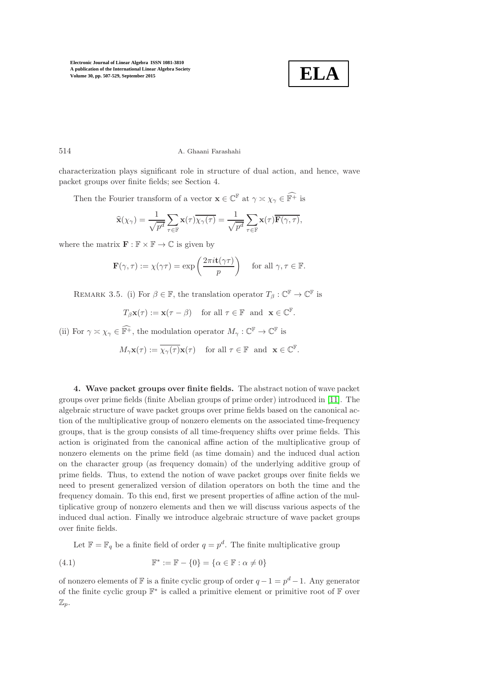

# 514 A. Ghaani Farashahi

characterization plays significant role in structure of dual action, and hence, wave packet groups over finite fields; see Section 4.

Then the Fourier transform of a vector  $\mathbf{x} \in \mathbb{C}^{\mathbb{F}}$  at  $\gamma \asymp \chi_{\gamma} \in \widehat{\mathbb{F}^+}$  is

$$
\widehat{\mathbf{x}}(\chi_{\gamma}) = \frac{1}{\sqrt{p^d}} \sum_{\tau \in \mathbb{F}} \mathbf{x}(\tau) \overline{\chi_{\gamma}(\tau)} = \frac{1}{\sqrt{p^d}} \sum_{\tau \in \mathbb{F}} \mathbf{x}(\tau) \overline{\mathbf{F}(\gamma, \tau)},
$$

where the matrix  $\mathbf{F} : \mathbb{F} \times \mathbb{F} \to \mathbb{C}$  is given by

$$
\mathbf{F}(\gamma,\tau) := \chi(\gamma\tau) = \exp\left(\frac{2\pi i \mathbf{t}(\gamma\tau)}{p}\right) \quad \text{for all } \gamma, \tau \in \mathbb{F}.
$$

REMARK 3.5. (i) For  $\beta \in \mathbb{F}$ , the translation operator  $T_{\beta}: \mathbb{C}^{\mathbb{F}} \to \mathbb{C}^{\mathbb{F}}$  is

$$
T_{\beta} \mathbf{x}(\tau) := \mathbf{x}(\tau - \beta) \text{ for all } \tau \in \mathbb{F} \text{ and } \mathbf{x} \in \mathbb{C}^{\mathbb{F}}.
$$

(ii) For  $\gamma \asymp \chi_{\gamma} \in \widehat{\mathbb{F}^+}$ , the modulation operator  $M_{\gamma}: \mathbb{C}^{\mathbb{F}} \to \mathbb{C}^{\mathbb{F}}$  is

$$
M_{\gamma}\mathbf{x}(\tau) := \overline{\chi_{\gamma}(\tau)}\mathbf{x}(\tau) \quad \text{for all } \tau \in \mathbb{F} \text{ and } \mathbf{x} \in \mathbb{C}^{\mathbb{F}}.
$$

4. Wave packet groups over finite fields. The abstract notion of wave packet groups over prime fields (finite Abelian groups of prime order) introduced in [\[11\]](#page-21-7). The algebraic structure of wave packet groups over prime fields based on the canonical action of the multiplicative group of nonzero elements on the associated time-frequency groups, that is the group consists of all time-frequency shifts over prime fields. This action is originated from the canonical affine action of the multiplicative group of nonzero elements on the prime field (as time domain) and the induced dual action on the character group (as frequency domain) of the underlying additive group of prime fields. Thus, to extend the notion of wave packet groups over finite fields we need to present generalized version of dilation operators on both the time and the frequency domain. To this end, first we present properties of affine action of the multiplicative group of nonzero elements and then we will discuss various aspects of the induced dual action. Finally we introduce algebraic structure of wave packet groups over finite fields.

Let  $\mathbb{F} = \mathbb{F}_q$  be a finite field of order  $q = p^d$ . The finite multiplicative group

(4.1) 
$$
\mathbb{F}^* := \mathbb{F} - \{0\} = \{\alpha \in \mathbb{F} : \alpha \neq 0\}
$$

of nonzero elements of  $\mathbb F$  is a finite cyclic group of order  $q-1 = p^d - 1$ . Any generator of the finite cyclic group  $\mathbb{F}^*$  is called a primitive element or primitive root of  $\mathbb F$  over  $\mathbb{Z}_p$ .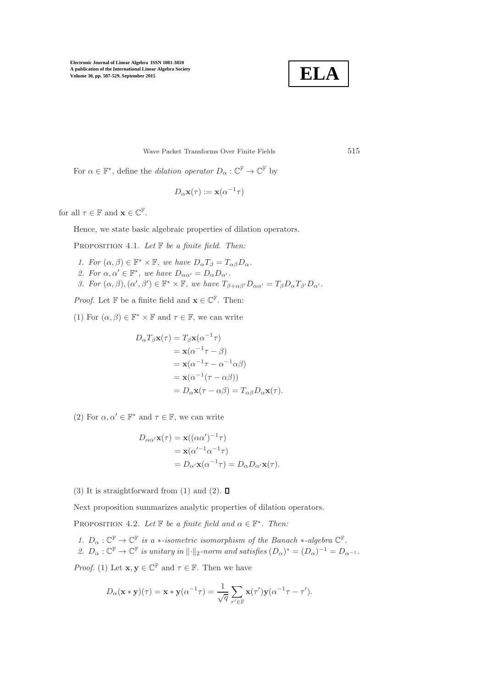

Wave Packet Transforms Over Finite Fields 515

For  $\alpha \in \mathbb{F}^*$ , define the *dilation operator*  $D_{\alpha}: \mathbb{C}^{\mathbb{F}} \to \mathbb{C}^{\mathbb{F}}$  by

$$
D_{\alpha}\mathbf{x}(\tau) := \mathbf{x}(\alpha^{-1}\tau)
$$

for all  $\tau \in \mathbb{F}$  and  $\mathbf{x} \in \mathbb{C}^{\mathbb{F}}$ .

<span id="page-8-0"></span>Hence, we state basic algebraic properties of dilation operators.

PROPOSITION 4.1. Let  $\mathbb F$  be a finite field. Then:

- 1. For  $(\alpha, \beta) \in \mathbb{F}^* \times \mathbb{F}$ , we have  $D_{\alpha}T_{\beta} = T_{\alpha\beta}D_{\alpha}$ .
- 2. For  $\alpha, \alpha' \in \mathbb{F}^*$ , we have  $D_{\alpha\alpha'} = D_{\alpha}D_{\alpha'}$ .
- 3. For  $(\alpha, \beta), (\alpha', \beta') \in \mathbb{F}^* \times \mathbb{F}$ , we have  $T_{\beta + \alpha \beta'} D_{\alpha \alpha'} = T_{\beta} D_{\alpha} T_{\beta'} D_{\alpha'}$ .

*Proof.* Let  $\mathbb{F}$  be a finite field and  $\mathbf{x} \in \mathbb{C}^{\mathbb{F}}$ . Then:

(1) For  $(\alpha, \beta) \in \mathbb{F}^* \times \mathbb{F}$  and  $\tau \in \mathbb{F}$ , we can write

$$
D_{\alpha}T_{\beta}\mathbf{x}(\tau) = T_{\beta}\mathbf{x}(\alpha^{-1}\tau)
$$
  
=  $\mathbf{x}(\alpha^{-1}\tau - \beta)$   
=  $\mathbf{x}(\alpha^{-1}\tau - \alpha^{-1}\alpha\beta)$   
=  $\mathbf{x}(\alpha^{-1}(\tau - \alpha\beta))$   
=  $D_{\alpha}\mathbf{x}(\tau - \alpha\beta) = T_{\alpha\beta}D_{\alpha}\mathbf{x}(\tau).$ 

(2) For  $\alpha, \alpha' \in \mathbb{F}^*$  and  $\tau \in \mathbb{F}$ , we can write

$$
D_{\alpha\alpha'}\mathbf{x}(\tau) = \mathbf{x}((\alpha\alpha')^{-1}\tau)
$$
  
=  $\mathbf{x}(\alpha'^{-1}\alpha^{-1}\tau)$   
=  $D_{\alpha'}\mathbf{x}(\alpha^{-1}\tau) = D_{\alpha}D_{\alpha'}\mathbf{x}(\tau)$ .

(3) It is straightforward from (1) and (2).  $\Box$ 

Next proposition summarizes analytic properties of dilation operators.

PROPOSITION 4.2. Let  $\mathbb F$  be a finite field and  $\alpha \in \mathbb F^*$ . Then:

1.  $D_{\alpha}: \mathbb{C}^{\mathbb{F}} \to \mathbb{C}^{\mathbb{F}}$  is a  $\ast$ -isometric isomorphism of the Banach  $\ast$ -algebra  $\mathbb{C}^{\mathbb{F}}$ . 2.  $D_{\alpha}: \mathbb{C}^{\mathbb{F}} \to \mathbb{C}^{\mathbb{F}}$  is unitary in  $\|\cdot\|_2$ -norm and satisfies  $(D_{\alpha})^* = (D_{\alpha})^{-1} = D_{\alpha^{-1}}$ .

*Proof.* (1) Let  $\mathbf{x}, \mathbf{y} \in \mathbb{C}^{\mathbb{F}}$  and  $\tau \in \mathbb{F}$ . Then we have

$$
D_{\alpha}(\mathbf{x} * \mathbf{y})(\tau) = \mathbf{x} * \mathbf{y}(\alpha^{-1}\tau) = \frac{1}{\sqrt{q}} \sum_{\tau' \in \mathbb{F}} \mathbf{x}(\tau') \mathbf{y}(\alpha^{-1}\tau - \tau').
$$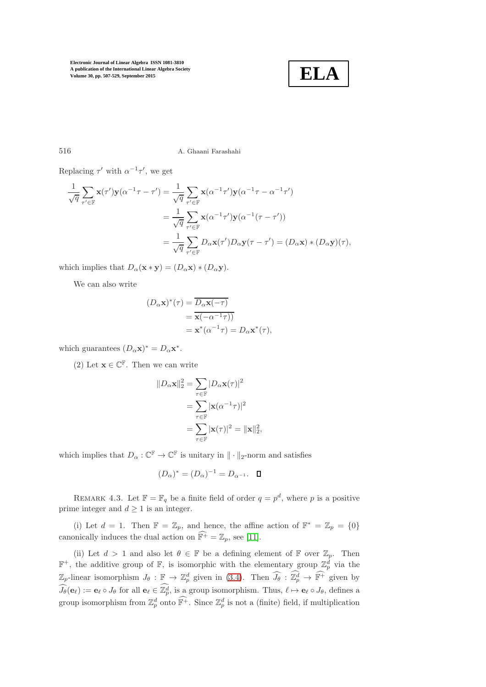

516 A. Ghaani Farashahi

Replacing  $\tau'$  with  $\alpha^{-1}\tau'$ , we get

$$
\frac{1}{\sqrt{q}} \sum_{\tau' \in \mathbb{F}} \mathbf{x}(\tau') \mathbf{y}(\alpha^{-1} \tau - \tau') = \frac{1}{\sqrt{q}} \sum_{\tau' \in \mathbb{F}} \mathbf{x}(\alpha^{-1} \tau') \mathbf{y}(\alpha^{-1} \tau - \alpha^{-1} \tau')
$$

$$
= \frac{1}{\sqrt{q}} \sum_{\tau' \in \mathbb{F}} \mathbf{x}(\alpha^{-1} \tau') \mathbf{y}(\alpha^{-1} (\tau - \tau'))
$$

$$
= \frac{1}{\sqrt{q}} \sum_{\tau' \in \mathbb{F}} D_{\alpha} \mathbf{x}(\tau') D_{\alpha} \mathbf{y}(\tau - \tau') = (D_{\alpha} \mathbf{x}) * (D_{\alpha} \mathbf{y})(\tau),
$$

which implies that  $D_{\alpha}(\mathbf{x} * \mathbf{y}) = (D_{\alpha} \mathbf{x}) * (D_{\alpha} \mathbf{y}).$ 

We can also write

$$
(D_{\alpha} \mathbf{x})^*(\tau) = \overline{D_{\alpha} \mathbf{x}(-\tau)}
$$
  
=  $\overline{\mathbf{x}(-\alpha^{-1}\tau)}$   
=  $\mathbf{x}^*(\alpha^{-1}\tau) = D_{\alpha} \mathbf{x}^*(\tau),$ 

which guarantees  $(D_{\alpha} \mathbf{x})^* = D_{\alpha} \mathbf{x}^*$ .

(2) Let  $\mathbf{x} \in \mathbb{C}^{\mathbb{F}}$ . Then we can write

$$
||D_{\alpha} \mathbf{x}||_2^2 = \sum_{\tau \in \mathbb{F}} |D_{\alpha} \mathbf{x}(\tau)|^2
$$
  
= 
$$
\sum_{\tau \in \mathbb{F}} |\mathbf{x}(\alpha^{-1} \tau)|^2
$$
  
= 
$$
\sum_{\tau \in \mathbb{F}} |\mathbf{x}(\tau)|^2 = ||\mathbf{x}||_2^2,
$$

which implies that  $D_{\alpha}: \mathbb{C}^{\mathbb{F}} \to \mathbb{C}^{\mathbb{F}}$  is unitary in  $\|\cdot\|_2$ -norm and satisfies

$$
(D_{\alpha})^* = (D_{\alpha})^{-1} = D_{\alpha^{-1}}.\quad \Box
$$

REMARK 4.3. Let  $\mathbb{F} = \mathbb{F}_q$  be a finite field of order  $q = p^d$ , where p is a positive prime integer and  $d \geq 1$  is an integer.

(i) Let  $d = 1$ . Then  $\mathbb{F} = \mathbb{Z}_p$ , and hence, the affine action of  $\mathbb{F}^* = \mathbb{Z}_p = \{0\}$ canonically induces the dual action on  $\widehat{\mathbb{F}^+} = \mathbb{Z}_p$ , see [\[11\]](#page-21-7).

(ii) Let  $d > 1$  and also let  $\theta \in \mathbb{F}$  be a defining element of  $\mathbb{F}$  over  $\mathbb{Z}_p$ . Then  $\mathbb{F}^+$ , the additive group of  $\mathbb{F}$ , is isomorphic with the elementary group  $\mathbb{Z}_p^d$  via the  $\mathbb{Z}_p$ -linear isomorphism  $J_\theta : \mathbb{F} \to \mathbb{Z}_p^d$  given in [\(3.4\)](#page-5-0). Then  $\widehat{J_\theta} : \widehat{\mathbb{Z}_p^d} \to \widehat{\mathbb{F}^+}$  given by  $\widehat{J_{\theta}}(\mathbf{e}_{\ell}) := \mathbf{e}_{\ell} \circ J_{\theta}$  for all  $\mathbf{e}_{\ell} \in \mathbb{Z}_{p}^{d}$ , is a group isomorphism. Thus,  $\ell \mapsto \mathbf{e}_{\ell} \circ J_{\theta}$ , defines a group isomorphism from  $\mathbb{Z}_p^d$  onto  $\widehat{\mathbb{F}^+}$ . Since  $\mathbb{Z}_p^d$  is not a (finite) field, if multiplication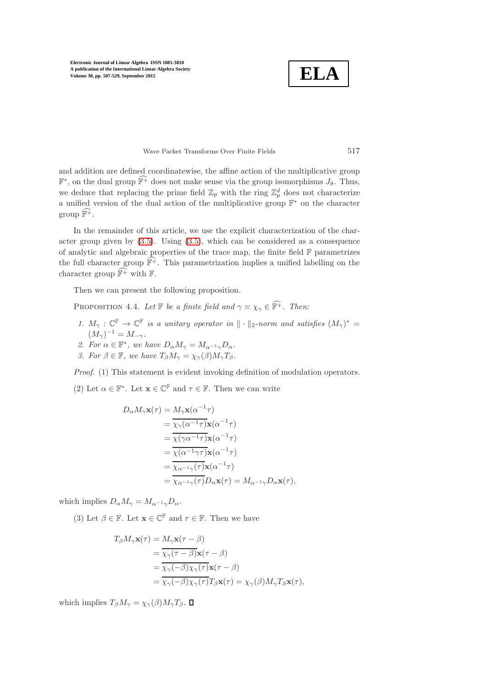**ELA**

## Wave Packet Transforms Over Finite Fields 517

and addition are defined coordinatewise, the affine action of the multiplicative group  $\mathbb{F}^*$ , on the dual group  $\widehat{\mathbb{F}^+}$  does not make sense via the group isomorphisms  $J_\theta$ . Thus, we deduce that replacing the prime field  $\mathbb{Z}_p$  with the ring  $\mathbb{Z}_p^d$  does not characterize a unified version of the dual action of the multiplicative group  $\mathbb{F}^*$  on the character group  $\mathbb{F}^+$ .

In the remainder of this article, we use the explicit characterization of the character group given by [\(3.5\)](#page-6-0). Using [\(3.5\)](#page-6-0), which can be considered as a consequence of analytic and algebraic properties of the trace map, the finite field  $\mathbb F$  parametrizes the full character group  $\widehat{\mathbb{F}^+}$ . This parametrization implies a unified labelling on the character group  $\widehat{\mathbb{F}^+}$  with  $\mathbb{F}$ .

Then we can present the following proposition.

PROPOSITION 4.4. Let  $\mathbb F$  be a finite field and  $\gamma \asymp \chi_{\gamma} \in \widehat{\mathbb F^+}$ . Then:

- 1.  $M_\gamma : \mathbb{C}^{\mathbb{F}} \to \mathbb{C}^{\mathbb{F}}$  is a unitary operator in  $\|\cdot\|_2$ -norm and satisfies  $(M_\gamma)^* =$  $(M_{\gamma})^{-1} = M_{-\gamma}.$
- 2. For  $\alpha \in \mathbb{F}^*$ , we have  $D_{\alpha}M_{\gamma} = M_{\alpha^{-1}\gamma}D_{\alpha}$ .
- 3. For  $\beta \in \mathbb{F}$ , we have  $T_{\beta}M_{\gamma} = \chi_{\gamma}(\beta)M_{\gamma}T_{\beta}$ .

Proof. (1) This statement is evident invoking definition of modulation operators.

(2) Let  $\alpha \in \mathbb{F}^*$ . Let  $\mathbf{x} \in \mathbb{C}^{\mathbb{F}}$  and  $\tau \in \mathbb{F}$ . Then we can write

$$
D_{\alpha}M_{\gamma}\mathbf{x}(\tau) = M_{\gamma}\mathbf{x}(\alpha^{-1}\tau)
$$
  
\n
$$
= \frac{\chi_{\gamma}(\alpha^{-1}\tau)}{\chi(\gamma\alpha^{-1}\tau)}\mathbf{x}(\alpha^{-1}\tau)
$$
  
\n
$$
= \frac{\chi(\gamma\alpha^{-1}\tau)}{\chi(\alpha^{-1}\gamma)}\mathbf{x}(\alpha^{-1}\tau)
$$
  
\n
$$
= \frac{\chi(\alpha^{-1}\gamma\tau)}{\chi(\alpha^{-1}\tau)}\mathbf{x}(\alpha^{-1}\tau)
$$
  
\n
$$
= \frac{\chi_{\alpha^{-1}\gamma}(\tau)}{\chi_{\alpha^{-1}\gamma}(\tau)}D_{\alpha}\mathbf{x}(\tau) = M_{\alpha^{-1}\gamma}D_{\alpha}\mathbf{x}(\tau),
$$

which implies  $D_{\alpha}M_{\gamma} = M_{\alpha^{-1}\gamma}D_{\alpha}$ .

(3) Let  $\beta \in \mathbb{F}$ . Let  $\mathbf{x} \in \mathbb{C}^{\mathbb{F}}$  and  $\tau \in \mathbb{F}$ . Then we have

$$
T_{\beta}M_{\gamma}\mathbf{x}(\tau) = M_{\gamma}\mathbf{x}(\tau - \beta)
$$
  
= 
$$
\frac{\overline{\chi}_{\gamma}(\tau - \beta)}{\overline{\chi}_{\gamma}(-\beta)\chi_{\gamma}(\tau)}\mathbf{x}(\tau - \beta)
$$
  
= 
$$
\frac{\overline{\chi}_{\gamma}(-\beta)\chi_{\gamma}(\tau)}{\overline{\chi}_{\gamma}(-\beta)\chi_{\gamma}(\tau)}T_{\beta}\mathbf{x}(\tau) = \chi_{\gamma}(\beta)M_{\gamma}T_{\beta}\mathbf{x}(\tau),
$$

which implies  $T_{\beta}M_{\gamma} = \chi_{\gamma}(\beta)M_{\gamma}T_{\beta}$ .  $\Box$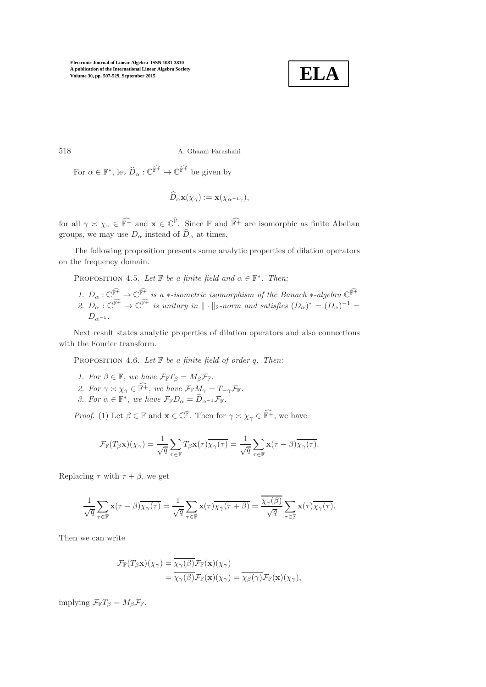

518 A. Ghaani Farashahi

For  $\alpha \in \mathbb{F}^*$ , let  $\widehat{D}_{\alpha}: \mathbb{C}^{\widehat{\mathbb{F}^+}} \to \mathbb{C}^{\widehat{\mathbb{F}^+}}$  be given by

$$
D_{\alpha} \mathbf{x}(\chi_{\gamma}) := \mathbf{x}(\chi_{\alpha^{-1}\gamma}),
$$

for all  $\gamma \asymp \chi_{\gamma} \in \widehat{\mathbb{F}^+}$  and  $\mathbf{x} \in \mathbb{C}^{\widehat{\mathbb{F}}}$ . Since  $\mathbb{F}$  and  $\widehat{\mathbb{F}^+}$  are isomorphic as finite Abelian groups, we may use  $D_{\alpha}$  instead of  $\widehat{D}_{\alpha}$  at times.

The following proposition presents some analytic properties of dilation operators on the frequency domain.

PROPOSITION 4.5. Let  $\mathbb F$  be a finite field and  $\alpha \in \mathbb F^*$ . Then:

1.  $D_{\alpha}: \mathbb{C}^{\widehat{\mathbb{F}^+}} \to \mathbb{C}^{\widehat{\mathbb{F}^+}}$  is a \*-isometric isomorphism of the Banach \*-algebra  $\mathbb{C}^{\widehat{\mathbb{F}^+}}$ 2.  $D_{\alpha} : \mathbb{C}^{\widehat{\mathbb{F}^+}} \to \mathbb{C}^{\widehat{\mathbb{F}^+}}$  is unitary in  $\|\cdot\|_2$ -norm and satisfies  $(D_{\alpha})^* = (D_{\alpha})^{-1} =$  $D_{\alpha^{-1}}$ .

<span id="page-11-0"></span>Next result states analytic properties of dilation operators and also connections with the Fourier transform.

PROPOSITION 4.6. Let  $\mathbb F$  be a finite field of order q. Then:

- 1. For  $\beta \in \mathbb{F}$ , we have  $\mathcal{F}_{\mathbb{F}}T_{\beta} = M_{\beta}\mathcal{F}_{\mathbb{F}}$ .
- 2. For  $\gamma \simeq \chi_{\gamma} \in \widehat{\mathbb{F}^+}$ , we have  $\mathcal{F}_{\mathbb{F}}M_{\gamma} = T_{-\gamma}\mathcal{F}_{\mathbb{F}}$ .
- 3. For  $\alpha \in \mathbb{F}^*$ , we have  $\mathcal{F}_{\mathbb{F}}D_{\alpha} = \widehat{D}_{\alpha^{-1}}\mathcal{F}_{\mathbb{F}}$ .

*Proof.* (1) Let  $\beta \in \mathbb{F}$  and  $\mathbf{x} \in \mathbb{C}^{\mathbb{F}}$ . Then for  $\gamma \asymp \chi_{\gamma} \in \widehat{\mathbb{F}^+}$ , we have

$$
\mathcal{F}_{\mathbb{F}}(T_{\beta}\mathbf{x})(\chi_{\gamma}) = \frac{1}{\sqrt{q}}\sum_{\tau \in \mathbb{F}}T_{\beta}\mathbf{x}(\tau)\overline{\chi_{\gamma}(\tau)} = \frac{1}{\sqrt{q}}\sum_{\tau \in \mathbb{F}}\mathbf{x}(\tau-\beta)\overline{\chi_{\gamma}(\tau)}.
$$

Replacing  $\tau$  with  $\tau + \beta$ , we get

$$
\frac{1}{\sqrt{q}}\sum_{\tau\in\mathbb{F}}\mathbf{x}(\tau-\beta)\overline{\chi_{\gamma}(\tau)}=\frac{1}{\sqrt{q}}\sum_{\tau\in\mathbb{F}}\mathbf{x}(\tau)\overline{\chi_{\gamma}(\tau+\beta)}=\frac{\overline{\chi_{\gamma}(\beta)}}{\sqrt{q}}\sum_{\tau\in\mathbb{F}}\mathbf{x}(\tau)\overline{\chi_{\gamma}(\tau)}.
$$

Then we can write

$$
\mathcal{F}_{\mathbb{F}}(T_{\beta}\mathbf{x})(\chi_{\gamma}) = \overline{\chi_{\gamma}(\beta)}\mathcal{F}_{\mathbb{F}}(\mathbf{x})(\chi_{\gamma}) \n= \overline{\chi_{\gamma}(\beta)}\mathcal{F}_{\mathbb{F}}(\mathbf{x})(\chi_{\gamma}) = \overline{\chi_{\beta}(\gamma)}\mathcal{F}_{\mathbb{F}}(\mathbf{x})(\chi_{\gamma}),
$$

implying  $\mathcal{F}_{\mathbb{F}}T_{\beta} = M_{\beta}\mathcal{F}_{\mathbb{F}}$ .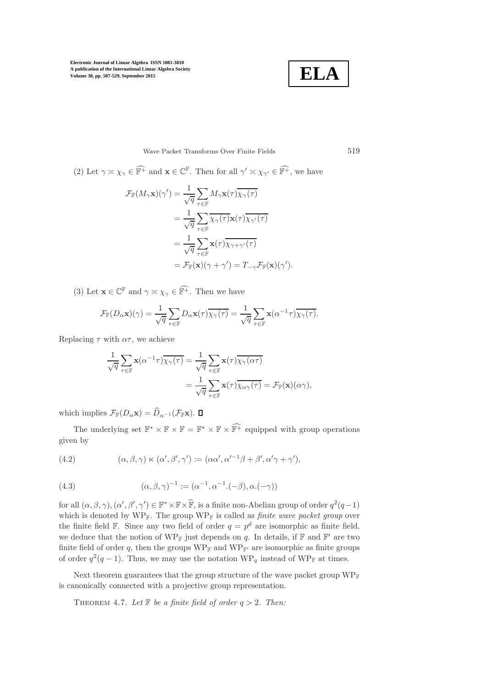

Wave Packet Transforms Over Finite Fields 519

(2) Let  $\gamma \asymp \chi_{\gamma} \in \widehat{\mathbb{F}^+}$  and  $\mathbf{x} \in \mathbb{C}^{\mathbb{F}}$ . Then for all  $\gamma' \asymp \chi_{\gamma'} \in \widehat{\mathbb{F}^+}$ , we have

$$
\mathcal{F}_{\mathbb{F}}(M_{\gamma}\mathbf{x})(\gamma') = \frac{1}{\sqrt{q}} \sum_{\tau \in \mathbb{F}} M_{\gamma}\mathbf{x}(\tau)\overline{\chi_{\gamma}(\tau)}
$$

$$
= \frac{1}{\sqrt{q}} \sum_{\tau \in \mathbb{F}} \overline{\chi_{\gamma}(\tau)}\mathbf{x}(\tau)\overline{\chi_{\gamma'}(\tau)}
$$

$$
= \frac{1}{\sqrt{q}} \sum_{\tau \in \mathbb{F}} \mathbf{x}(\tau)\overline{\chi_{\gamma+\gamma'}(\tau)}
$$

$$
= \mathcal{F}_{\mathbb{F}}(\mathbf{x})(\gamma + \gamma') = T_{-\gamma}\mathcal{F}_{\mathbb{F}}(\mathbf{x})(\gamma').
$$

(3) Let  $\mathbf{x} \in \mathbb{C}^{\mathbb{F}}$  and  $\gamma \asymp \chi_{\gamma} \in \widehat{\mathbb{F}^+}$ . Then we have

$$
\mathcal{F}_{\mathbb{F}}(D_{\alpha}\mathbf{x})(\gamma) = \frac{1}{\sqrt{q}}\sum_{\tau \in \mathbb{F}} D_{\alpha}\mathbf{x}(\tau)\overline{\chi_{\gamma}(\tau)} = \frac{1}{\sqrt{q}}\sum_{\tau \in \mathbb{F}} \mathbf{x}(\alpha^{-1}\tau)\overline{\chi_{\gamma}(\tau)}.
$$

Replacing  $\tau$  with  $\alpha\tau$ , we achieve

$$
\frac{1}{\sqrt{q}} \sum_{\tau \in \mathbb{F}} \mathbf{x}(\alpha^{-1} \tau) \overline{\chi_{\gamma}(\tau)} = \frac{1}{\sqrt{q}} \sum_{\tau \in \mathbb{F}} \mathbf{x}(\tau) \overline{\chi_{\gamma}(\alpha \tau)}
$$

$$
= \frac{1}{\sqrt{q}} \sum_{\tau \in \mathbb{F}} \mathbf{x}(\tau) \overline{\chi_{\alpha \gamma}(\tau)} = \mathcal{F}_{\mathbb{F}}(\mathbf{x}) (\alpha \gamma),
$$

which implies  $\mathcal{F}_{\mathbb{F}}(D_{\alpha}\mathbf{x}) = D_{\alpha^{-1}}(\mathcal{F}_{\mathbb{F}}\mathbf{x}).$ 

The underlying set  $\mathbb{F}^* \times \mathbb{F} \times \mathbb{F} = \mathbb{F}^* \times \mathbb{F} \times \mathbb{F}^+$  equipped with group operations given by

<span id="page-12-0"></span>(4.2) 
$$
(\alpha, \beta, \gamma) \ltimes (\alpha', \beta', \gamma') := (\alpha \alpha', \alpha'^{-1} \beta + \beta', \alpha' \gamma + \gamma'),
$$

(4.3) 
$$
(\alpha, \beta, \gamma)^{-1} := (\alpha^{-1}, \alpha^{-1}.(-\beta), \alpha.(-\gamma))
$$

for all  $(\alpha, \beta, \gamma), (\alpha', \beta', \gamma') \in \mathbb{F}^* \times \mathbb{F} \times \mathbb{F}$ , is a finite non-Abelian group of order  $q^2(q-1)$ which is denoted by  $W P_{\mathbb{F}}$ . The group  $W P_{\mathbb{F}}$  is called as *finite wave packet group* over the finite field  $\mathbb{F}$ . Since any two field of order  $q = p^d$  are isomorphic as finite field, we deduce that the notion of  $W P_{\mathbb{F}}$  just depends on q. In details, if  $\mathbb{F}$  and  $\mathbb{F}'$  are two finite field of order q, then the groups  $WP_{\mathbb{F}}$  and  $WP_{\mathbb{F}'}$  are isomorphic as finite groups of order  $q^2(q-1)$ . Thus, we may use the notation  $WP_q$  instead of  $WP_{\mathbb{F}}$  at times.

Next theorem guarantees that the group structure of the wave packet group  $WP_F$ is canonically connected with a projective group representation.

THEOREM 4.7. Let  $\mathbb F$  be a finite field of order  $q > 2$ . Then: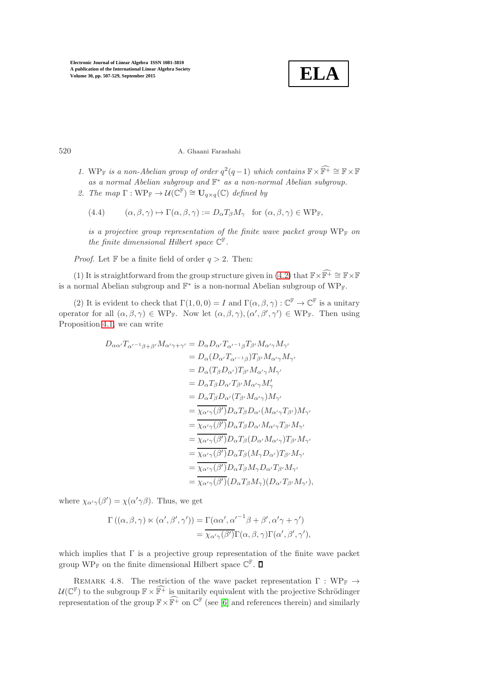

520 A. Ghaani Farashahi

- 1. WP<sub>F</sub> is a non-Abelian group of order  $q^2(q-1)$  which contains  $\mathbb{F} \times \mathbb{F}^+ \cong \mathbb{F} \times \mathbb{F}$ as a normal Abelian subgroup and  $\mathbb{F}^*$  as a non-normal Abelian subgroup.
- 2. The map  $\Gamma : \text{WP}_{\mathbb{F}} \to \mathcal{U}(\mathbb{C}^{\mathbb{F}}) \cong \mathbf{U}_{q \times q}(\mathbb{C})$  defined by

(4.4)  $(\alpha, \beta, \gamma) \mapsto \Gamma(\alpha, \beta, \gamma) := D_{\alpha} T_{\beta} M_{\gamma}$  for  $(\alpha, \beta, \gamma) \in \text{WP}_{\mathbb{F}}$ ,

is a projective group representation of the finite wave packet group  $\text{WP}_{\mathbb{F}}$  on the finite dimensional Hilbert space  $\mathbb{C}^{\mathbb{F}}$ .

*Proof.* Let  $\mathbb F$  be a finite field of order  $q > 2$ . Then:

(1) It is straightforward from the group structure given in [\(4.2\)](#page-12-0) that  $\mathbb{F} \times \widehat{\mathbb{F}^+} \cong \mathbb{F} \times \mathbb{F}$ is a normal Abelian subgroup and  $\mathbb{F}^*$  is a non-normal Abelian subgroup of  $\text{WP}_{\mathbb{F}}$ .

(2) It is evident to check that  $\Gamma(1,0,0) = I$  and  $\Gamma(\alpha,\beta,\gamma) : \mathbb{C}^{\mathbb{F}} \to \mathbb{C}^{\mathbb{F}}$  is a unitary operator for all  $(\alpha, \beta, \gamma) \in \text{WP}_{\mathbb{F}}$ . Now let  $(\alpha, \beta, \gamma), (\alpha', \beta', \gamma') \in \text{WP}_{\mathbb{F}}$ . Then using Proposition [4.1,](#page-8-0) we can write

$$
D_{\alpha\alpha'}T_{\alpha'-1\beta+\beta'}M_{\alpha'\gamma+\gamma'} = D_{\alpha}D_{\alpha'}T_{\alpha'-1\beta}T_{\beta'}M_{\alpha'\gamma}M_{\gamma'}
$$
  
\n
$$
= D_{\alpha}(D_{\alpha'}T_{\alpha'-1\beta})T_{\beta'}M_{\alpha'\gamma}M_{\gamma'}
$$
  
\n
$$
= D_{\alpha}(T_{\beta}D_{\alpha'})T_{\beta'}M_{\alpha'\gamma}M_{\gamma'}
$$
  
\n
$$
= D_{\alpha}T_{\beta}D_{\alpha'}T_{\beta'}M_{\alpha'\gamma}M_{\gamma'}
$$
  
\n
$$
= D_{\alpha}T_{\beta}D_{\alpha'}(T_{\beta'}M_{\alpha'\gamma})M_{\gamma'}
$$
  
\n
$$
= \overline{\chi_{\alpha'\gamma}(\beta')}D_{\alpha}T_{\beta}D_{\alpha'}(M_{\alpha'\gamma}T_{\beta'})M_{\gamma'}
$$
  
\n
$$
= \overline{\chi_{\alpha'\gamma}(\beta')}D_{\alpha}T_{\beta}D_{\alpha'}M_{\alpha'\gamma}T_{\beta'}M_{\gamma'}
$$
  
\n
$$
= \overline{\chi_{\alpha'\gamma}(\beta')}D_{\alpha}T_{\beta}(D_{\alpha'}M_{\alpha'\gamma})T_{\beta'}M_{\gamma'}
$$
  
\n
$$
= \overline{\chi_{\alpha'\gamma}(\beta')}D_{\alpha}T_{\beta}(M_{\gamma}D_{\alpha'})T_{\beta'}M_{\gamma'}
$$
  
\n
$$
= \overline{\chi_{\alpha'\gamma}(\beta')}D_{\alpha}T_{\beta}M_{\gamma}D_{\alpha'}T_{\beta'}M_{\gamma'}
$$
  
\n
$$
= \overline{\chi_{\alpha'\gamma}(\beta')}D_{\alpha}T_{\beta}M_{\gamma}(D_{\alpha'}T_{\beta'}M_{\gamma'},
$$

where  $\chi_{\alpha'\gamma}(\beta') = \chi(\alpha'\gamma\beta)$ . Thus, we get

$$
\Gamma((\alpha,\beta,\gamma) \ltimes (\alpha',\beta',\gamma')) = \Gamma(\alpha\alpha',\alpha'^{-1}\beta + \beta',\alpha'\gamma + \gamma')
$$
  
= 
$$
\overline{\chi_{\alpha'\gamma}(\beta')} \Gamma(\alpha,\beta,\gamma) \Gamma(\alpha',\beta',\gamma'),
$$

<span id="page-13-0"></span>which implies that  $\Gamma$  is a projective group representation of the finite wave packet group  $\text{WP}_{\mathbb{F}}$  on the finite dimensional Hilbert space  $\mathbb{C}^{\mathbb{F}}$ .

REMARK 4.8. The restriction of the wave packet representation  $\Gamma : W_{\mathbb{F}} \to$  $\mathcal{U}(\mathbb{C}^{\mathbb{F}})$  to the subgroup  $\mathbb{F} \times \widehat{\mathbb{F}^+}$  is unitarily equivalent with the projective Schrödinger representation of the group  $\mathbb{F} \times \widehat{\mathbb{F}^+}$  on  $\mathbb{C}^{\mathbb{F}}$  (see [\[6\]](#page-21-6) and references therein) and similarly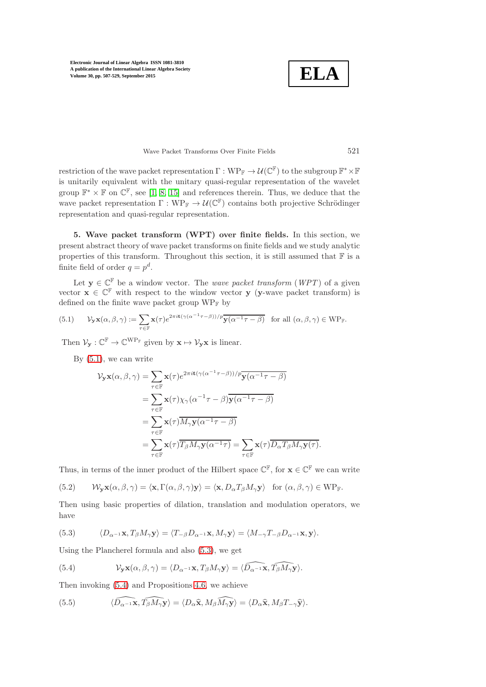**ELA**

Wave Packet Transforms Over Finite Fields 521

restriction of the wave packet representation  $\Gamma: WP_{\mathbb{F}} \to \mathcal{U}(\mathbb{C}^{\mathbb{F}})$  to the subgroup  $\mathbb{F}^* \times \mathbb{F}$ is unitarily equivalent with the unitary quasi-regular representation of the wavelet group  $\mathbb{F}^* \times \mathbb{F}$  on  $\mathbb{C}^{\mathbb{F}}$ , see [\[1,](#page-21-23) [8,](#page-21-15) [15\]](#page-21-17) and references therein. Thus, we deduce that the wave packet representation  $\Gamma: \mathrm{WP}_\mathbb{F} \to \mathcal{U}(\mathbb{C}^\mathbb{F})$  contains both projective Schrödinger representation and quasi-regular representation.

5. Wave packet transform (WPT) over finite fields. In this section, we present abstract theory of wave packet transforms on finite fields and we study analytic properties of this transform. Throughout this section, it is still assumed that  $\mathbb F$  is a finite field of order  $q = p^d$ .

Let  $\mathbf{y} \in \mathbb{C}^{\mathbb{F}}$  be a window vector. The *wave packet transform* (WPT) of a given vector  $\mathbf{x} \in \mathbb{C}^{\mathbb{F}}$  with respect to the window vector  $\mathbf{y}$  (y-wave packet transform) is defined on the finite wave packet group  $\text{WP}_\mathbb{F}$  by

<span id="page-14-0"></span>(5.1) 
$$
\mathcal{V}_{\mathbf{y}}\mathbf{x}(\alpha,\beta,\gamma) := \sum_{\tau \in \mathbb{F}} \mathbf{x}(\tau) e^{2\pi i \mathbf{t}(\gamma(\alpha^{-1}\tau-\beta))/p} \overline{\mathbf{y}(\alpha^{-1}\tau-\beta)} \text{ for all } (\alpha,\beta,\gamma) \in \text{WP}_{\mathbb{F}}.
$$

Then  $\mathcal{V}_{\mathbf{y}} : \mathbb{C}^{\mathbb{F}} \to \mathbb{C}^{\text{WP}_{\mathbb{F}}}$  given by  $\mathbf{x} \mapsto \mathcal{V}_{\mathbf{y}}\mathbf{x}$  is linear.

By  $(5.1)$ , we can write

$$
\mathcal{V}_{\mathbf{y}}\mathbf{x}(\alpha,\beta,\gamma) = \sum_{\tau \in \mathbb{F}} \mathbf{x}(\tau) e^{2\pi i \mathbf{t}(\gamma(\alpha^{-1}\tau-\beta))/p} \overline{\mathbf{y}(\alpha^{-1}\tau-\beta)}
$$
  
\n
$$
= \sum_{\tau \in \mathbb{F}} \mathbf{x}(\tau) \chi_{\gamma}(\alpha^{-1}\tau-\beta) \overline{\mathbf{y}(\alpha^{-1}\tau-\beta)}
$$
  
\n
$$
= \sum_{\tau \in \mathbb{F}} \mathbf{x}(\tau) \overline{M_{\gamma} \mathbf{y}(\alpha^{-1}\tau-\beta)}
$$
  
\n
$$
= \sum_{\tau \in \mathbb{F}} \mathbf{x}(\tau) \overline{T_{\beta} M_{\gamma} \mathbf{y}(\alpha^{-1}\tau)} = \sum_{\tau \in \mathbb{F}} \mathbf{x}(\tau) \overline{D_{\alpha} T_{\beta} M_{\gamma} \mathbf{y}(\tau)}.
$$

Thus, in terms of the inner product of the Hilbert space  $\mathbb{C}^{\mathbb{F}}$ , for  $\mathbf{x} \in \mathbb{C}^{\mathbb{F}}$  we can write

(5.2) 
$$
\mathcal{W}_{\mathbf{y}}\mathbf{x}(\alpha,\beta,\gamma) = \langle \mathbf{x}, \Gamma(\alpha,\beta,\gamma)\mathbf{y} \rangle = \langle \mathbf{x}, D_{\alpha}T_{\beta}M_{\gamma}\mathbf{y} \rangle \text{ for } (\alpha,\beta,\gamma) \in \text{WP}_{\mathbb{F}}.
$$

Then using basic properties of dilation, translation and modulation operators, we have

<span id="page-14-1"></span>(5.3) 
$$
\langle D_{\alpha^{-1}}\mathbf{x}, T_{\beta}M_{\gamma}\mathbf{y} \rangle = \langle T_{-\beta}D_{\alpha^{-1}}\mathbf{x}, M_{\gamma}\mathbf{y} \rangle = \langle M_{-\gamma}T_{-\beta}D_{\alpha^{-1}}\mathbf{x}, \mathbf{y} \rangle.
$$

Using the Plancherel formula and also [\(5.3\)](#page-14-1), we get

<span id="page-14-2"></span>(5.4) 
$$
\mathcal{V}_{\mathbf{y}}\mathbf{x}(\alpha,\beta,\gamma)=\langle D_{\alpha^{-1}}\mathbf{x},T_{\beta}M_{\gamma}\mathbf{y}\rangle=\langle\widehat{D_{\alpha^{-1}}\mathbf{x}},\widehat{T_{\beta}M_{\gamma}\mathbf{y}}\rangle.
$$

Then invoking [\(5.4\)](#page-14-2) and Propositions [4.6,](#page-11-0) we achieve

<span id="page-14-3"></span>(5.5) 
$$
\langle \widehat{D_{\alpha^{-1}}\mathbf{x}}, \widehat{T_{\beta}M_{\gamma}\mathbf{y}}\rangle = \langle D_{\alpha}\widehat{\mathbf{x}}, M_{\beta}\widehat{M_{\gamma}\mathbf{y}}\rangle = \langle D_{\alpha}\widehat{\mathbf{x}}, M_{\beta}T_{-\gamma}\widehat{\mathbf{y}}\rangle.
$$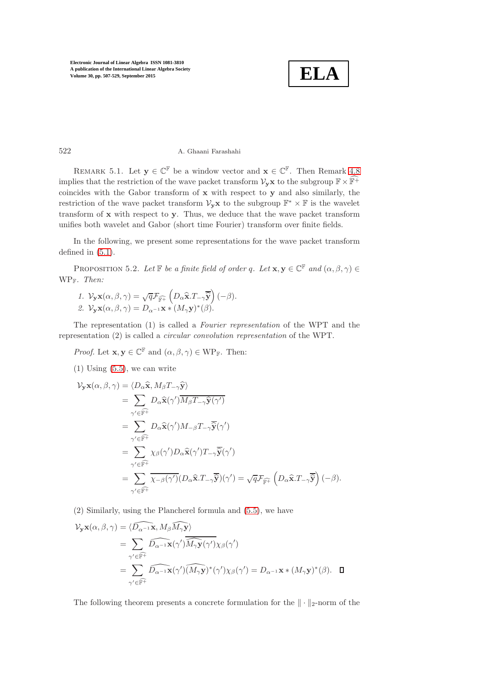

522 A. Ghaani Farashahi

REMARK 5.1. Let  $\mathbf{y} \in \mathbb{C}^{\mathbb{F}}$  be a window vector and  $\mathbf{x} \in \mathbb{C}^{\mathbb{F}}$ . Then Remark [4.8](#page-13-0) implies that the restriction of the wave packet transform  $\mathcal{V}_{\mathbf{y}}\mathbf{x}$  to the subgroup  $\mathbb{F} \times \mathbb{F}^+$ coincides with the Gabor transform of x with respect to y and also similarly, the restriction of the wave packet transform  $\mathcal{V}_{\mathbf{y}}\mathbf{x}$  to the subgroup  $\mathbb{F}^* \times \mathbb{F}$  is the wavelet transform of x with respect to y. Thus, we deduce that the wave packet transform unifies both wavelet and Gabor (short time Fourier) transform over finite fields.

<span id="page-15-0"></span>In the following, we present some representations for the wave packet transform defined in [\(5.1\)](#page-14-0).

PROPOSITION 5.2. Let  $\mathbb F$  be a finite field of order q. Let  $\mathbf x, \mathbf y \in \mathbb C^{\mathbb F}$  and  $(\alpha, \beta, \gamma) \in$ WP<sub>F</sub>. Then:

1. 
$$
V_{\mathbf{y}}\mathbf{x}(\alpha,\beta,\gamma) = \sqrt{q}\mathcal{F}_{\widehat{\mathbb{F}^+}}\left(D_{\alpha}\widehat{\mathbf{x}}.T_{-\gamma}\overline{\widehat{\mathbf{y}}}\right)(-\beta).
$$
  
2.  $V_{\mathbf{y}}\mathbf{x}(\alpha,\beta,\gamma) = D_{\alpha^{-1}}\mathbf{x} * (M_{\gamma}\mathbf{y})^*(\beta).$ 

The representation (1) is called a Fourier representation of the WPT and the representation (2) is called a circular convolution representation of the WPT.

*Proof.* Let  $\mathbf{x}, \mathbf{y} \in \mathbb{C}^{\mathbb{F}}$  and  $(\alpha, \beta, \gamma) \in \text{WP}_{\mathbb{F}}$ . Then:

 $(1)$  Using  $(5.5)$ , we can write

$$
\mathcal{V}_{\mathbf{y}}\mathbf{x}(\alpha,\beta,\gamma) = \langle D_{\alpha}\hat{\mathbf{x}}, M_{\beta}T_{-\gamma}\hat{\mathbf{y}} \rangle \n= \sum_{\gamma' \in \widehat{\mathbb{F}}^{+}} D_{\alpha}\hat{\mathbf{x}}(\gamma')\overline{M_{\beta}T_{-\gamma}\hat{\mathbf{y}}(\gamma')}
$$
\n
$$
= \sum_{\gamma' \in \widehat{\mathbb{F}}^{+}} D_{\alpha}\hat{\mathbf{x}}(\gamma')M_{-\beta}T_{-\gamma}\overline{\hat{\mathbf{y}}(\gamma')}
$$
\n
$$
= \sum_{\gamma' \in \widehat{\mathbb{F}}^{+}} \chi_{\beta}(\gamma')D_{\alpha}\hat{\mathbf{x}}(\gamma')T_{-\gamma}\overline{\hat{\mathbf{y}}(\gamma')}
$$
\n
$$
= \sum_{\gamma' \in \widehat{\mathbb{F}}^{+}} \overline{\chi_{-\beta}(\gamma')} (D_{\alpha}\hat{\mathbf{x}}.T_{-\gamma}\overline{\hat{\mathbf{y}}})(\gamma') = \sqrt{q}\mathcal{F}_{\widehat{\mathbb{F}}^{+}} (D_{\alpha}\hat{\mathbf{x}}.T_{-\gamma}\overline{\hat{\mathbf{y}}}) (-\beta).
$$

(2) Similarly, using the Plancherel formula and [\(5.5\)](#page-14-3), we have

$$
\mathcal{V}_{\mathbf{y}}\mathbf{x}(\alpha,\beta,\gamma) = \langle \widehat{D_{\alpha^{-1}}\mathbf{x}}, M_{\beta} \widehat{M_{\gamma}\mathbf{y}} \rangle \n= \sum_{\gamma' \in \widehat{\mathbb{F}}^+} \widehat{D_{\alpha^{-1}}\mathbf{x}}(\gamma') \widehat{M_{\gamma}\mathbf{y}}(\gamma') \chi_{\beta}(\gamma') \n= \sum_{\gamma' \in \widehat{\mathbb{F}}^+} \widehat{D_{\alpha^{-1}}\mathbf{x}}(\gamma') \widehat{(M_{\gamma}\mathbf{y})^*}(\gamma') \chi_{\beta}(\gamma') = D_{\alpha^{-1}}\mathbf{x} * (M_{\gamma}\mathbf{y})^*(\beta). \quad \Box
$$

The following theorem presents a concrete formulation for the  $\|\cdot\|_2$ -norm of the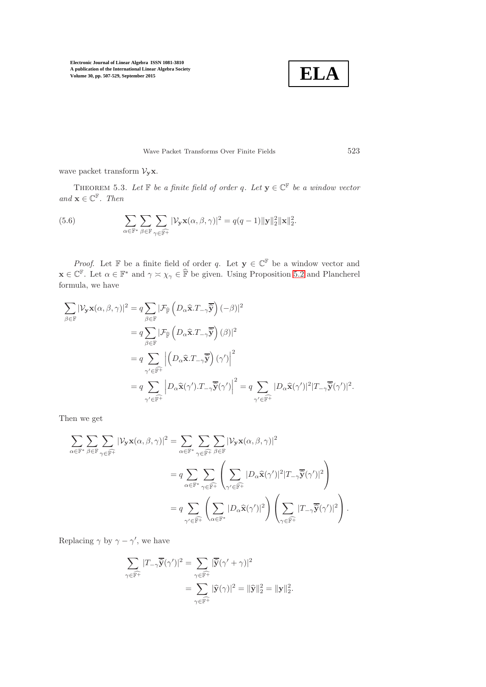

Wave Packet Transforms Over Finite Fields 523

<span id="page-16-1"></span>wave packet transform  $V_{y}x$ .

THEOREM 5.3. Let  $\mathbb F$  be a finite field of order q. Let  $\mathbf{y} \in \mathbb C^{\mathbb F}$  be a window vector and  $\mathbf{x} \in \mathbb{C}^{\mathbb{F}}$ . Then

<span id="page-16-0"></span>(5.6) 
$$
\sum_{\alpha \in \mathbb{F}^*} \sum_{\beta \in \mathbb{F}} \sum_{\gamma \in \widehat{\mathbb{F}^+}} |\mathcal{V}_{\mathbf{y}} \mathbf{x}(\alpha, \beta, \gamma)|^2 = q(q-1) ||\mathbf{y}||_2^2 ||\mathbf{x}||_2^2.
$$

*Proof.* Let  $\mathbb{F}$  be a finite field of order q. Let  $\mathbf{y} \in \mathbb{C}^{\mathbb{F}}$  be a window vector and  $\mathbf{x} \in \mathbb{C}^{\mathbb{F}}$ . Let  $\alpha \in \mathbb{F}^*$  and  $\gamma \asymp \chi_{\gamma} \in \widehat{\mathbb{F}}$  be given. Using Proposition [5.2](#page-15-0) and Plancherel formula, we have

$$
\sum_{\beta \in \mathbb{F}} |\mathcal{V}_{\mathbf{y}} \mathbf{x}(\alpha, \beta, \gamma)|^2 = q \sum_{\beta \in \mathbb{F}} |\mathcal{F}_{\widehat{\mathbb{F}}}\left(D_{\alpha} \widehat{\mathbf{x}} \cdot T_{-\gamma} \overline{\widehat{\mathbf{y}}}\right)(-\beta)|^2
$$
  
\n
$$
= q \sum_{\beta \in \mathbb{F}} |\mathcal{F}_{\widehat{\mathbb{F}}}\left(D_{\alpha} \widehat{\mathbf{x}} \cdot T_{-\gamma} \overline{\widehat{\mathbf{y}}}\right)(\beta)|^2
$$
  
\n
$$
= q \sum_{\gamma' \in \widehat{\mathbb{F}^+}} \left| \left(D_{\alpha} \widehat{\mathbf{x}} \cdot T_{-\gamma} \overline{\widehat{\mathbf{y}}}\right)(\gamma') \right|^2
$$
  
\n
$$
= q \sum_{\gamma' \in \widehat{\mathbb{F}^+}} \left| D_{\alpha} \widehat{\mathbf{x}}(\gamma') \cdot T_{-\gamma} \overline{\widehat{\mathbf{y}}}(\gamma') \right|^2 = q \sum_{\gamma' \in \widehat{\mathbb{F}^+}} |D_{\alpha} \widehat{\mathbf{x}}(\gamma')|^2 |T_{-\gamma} \overline{\widehat{\mathbf{y}}}(\gamma')|^2.
$$

Then we get

$$
\begin{split} \sum_{\alpha \in \mathbb{F}^*} \sum_{\beta \in \mathbb{F}} \sum_{\gamma \in \widehat{\mathbb{F}^+}} |\mathcal{V}_{\mathbf{y}} \mathbf{x}(\alpha, \beta, \gamma)|^2 &= \sum_{\alpha \in \mathbb{F}^*} \sum_{\gamma \in \widehat{\mathbb{F}^+}} \sum_{\beta \in \mathbb{F}} |\mathcal{V}_{\mathbf{y}} \mathbf{x}(\alpha, \beta, \gamma)|^2 \\ &= q \sum_{\alpha \in \mathbb{F}^*} \sum_{\gamma \in \widehat{\mathbb{F}^+}} \left( \sum_{\gamma' \in \widehat{\mathbb{F}^+}} |D_{\alpha} \widehat{\mathbf{x}}(\gamma')|^2 |T_{-\gamma} \overline{\widehat{\mathbf{y}}}(\gamma')|^2 \right) \\ &= q \sum_{\gamma' \in \widehat{\mathbb{F}^+}} \left( \sum_{\alpha \in \mathbb{F}^*} |D_{\alpha} \widehat{\mathbf{x}}(\gamma')|^2 \right) \left( \sum_{\gamma \in \widehat{\mathbb{F}^+}} |T_{-\gamma} \overline{\widehat{\mathbf{y}}}(\gamma')|^2 \right). \end{split}
$$

Replacing  $\gamma$  by  $\gamma - \gamma'$ , we have

$$
\sum_{\gamma \in \widehat{\mathbb{F}^+}} |T_{-\gamma} \overline{\widehat{\mathbf{y}}}(\gamma')|^2 = \sum_{\gamma \in \widehat{\mathbb{F}^+}} |\overline{\widehat{\mathbf{y}}}(\gamma' + \gamma)|^2
$$
  
= 
$$
\sum_{\gamma \in \widehat{\mathbb{F}^+}} |\widehat{\mathbf{y}}(\gamma)|^2 = ||\widehat{\mathbf{y}}||_2^2 = ||\mathbf{y}||_2^2.
$$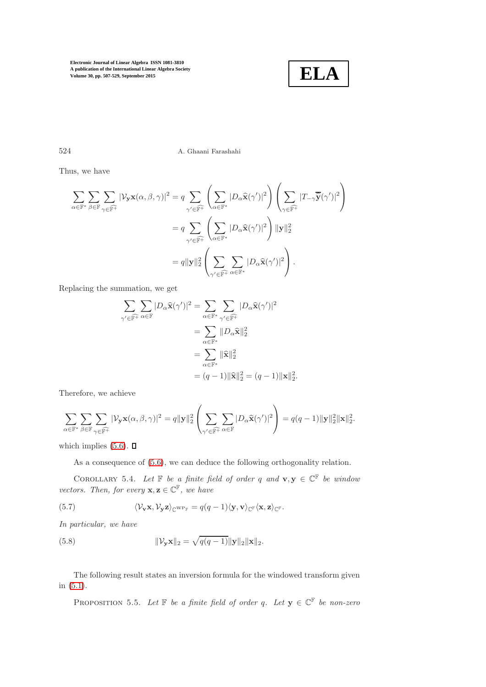

524 A. Ghaani Farashahi

Thus, we have

$$
\sum_{\alpha \in \mathbb{F}^*} \sum_{\beta \in \mathbb{F}} \sum_{\gamma \in \widehat{\mathbb{F}^+}} |\mathcal{V}_{\mathbf{y}} \mathbf{x}(\alpha, \beta, \gamma)|^2 = q \sum_{\gamma' \in \widehat{\mathbb{F}^+}} \left( \sum_{\alpha \in \mathbb{F}^*} |D_{\alpha} \widehat{\mathbf{x}}(\gamma')|^2 \right) \left( \sum_{\gamma \in \widehat{\mathbb{F}^+}} |T_{-\gamma} \overline{\widehat{\mathbf{y}}(\gamma')}|^2 \right)
$$
  

$$
= q \sum_{\gamma' \in \widehat{\mathbb{F}^+}} \left( \sum_{\alpha \in \mathbb{F}^*} |D_{\alpha} \widehat{\mathbf{x}}(\gamma')|^2 \right) ||\mathbf{y}||_2^2
$$
  

$$
= q ||\mathbf{y}||_2^2 \left( \sum_{\gamma' \in \widehat{\mathbb{F}^+}} \sum_{\alpha \in \mathbb{F}^*} |D_{\alpha} \widehat{\mathbf{x}}(\gamma')|^2 \right).
$$

Replacing the summation, we get

$$
\sum_{\gamma' \in \mathbb{F}^+} \sum_{\alpha \in \mathbb{F}} |D_{\alpha} \widehat{\mathbf{x}}(\gamma')|^2 = \sum_{\alpha \in \mathbb{F}^*} \sum_{\gamma' \in \mathbb{F}^+} |D_{\alpha} \widehat{\mathbf{x}}(\gamma')|^2
$$
  
= 
$$
\sum_{\alpha \in \mathbb{F}^*} ||D_{\alpha} \widehat{\mathbf{x}}||_2^2
$$
  
= 
$$
\sum_{\alpha \in \mathbb{F}^*} ||\widehat{\mathbf{x}}||_2^2
$$
  
= 
$$
(q-1) ||\widehat{\mathbf{x}}||_2^2 = (q-1) ||\mathbf{x}||_2^2.
$$

Therefore, we achieve

$$
\sum_{\alpha\in\mathbb{F}^*}\sum_{\beta\in\mathbb{F}}\sum_{\gamma\in\widehat{\mathbb{F}^+}}|\mathcal{V}_{\mathbf{y}}\mathbf{x}(\alpha,\beta,\gamma)|^2=q\|\mathbf{y}\|_2^2\left(\sum_{\gamma'\in\widehat{\mathbb{F}^+}}\sum_{\alpha\in\mathbb{F}}|D_\alpha\widehat{\mathbf{x}}(\gamma')|^2\right)=q(q-1)\|\mathbf{y}\|_2^2\|\mathbf{x}\|_2^2.
$$

which implies  $(5.6)$ .  $\Box$ 

As a consequence of  $(5.6)$ , we can deduce the following orthogonality relation.

COROLLARY 5.4. Let  $\mathbb F$  be a finite field of order q and  $\mathbf{v}, \mathbf{y} \in \mathbb C^{\mathbb F}$  be window vectors. Then, for every  $\mathbf{x}, \mathbf{z} \in \mathbb{C}^{\mathbb{F}}$ , we have

<span id="page-17-0"></span>(5.7) 
$$
\langle \mathcal{V}_{\mathbf{v}} \mathbf{x}, \mathcal{V}_{\mathbf{y}} \mathbf{z} \rangle_{\mathbb{C}^{\text{WP}_{\mathbb{F}}}} = q(q-1) \langle \mathbf{y}, \mathbf{v} \rangle_{\mathbb{C}^{\mathbb{F}}}\langle \mathbf{x}, \mathbf{z} \rangle_{\mathbb{C}^{\mathbb{F}}}.
$$

In particular, we have

(5.8) 
$$
\|\mathcal{V}_{\mathbf{y}}\mathbf{x}\|_2 = \sqrt{q(q-1)}\|\mathbf{y}\|_2 \|\mathbf{x}\|_2.
$$

<span id="page-17-1"></span>The following result states an inversion formula for the windowed transform given in [\(5.1\)](#page-14-0).

PROPOSITION 5.5. Let  $\mathbb F$  be a finite field of order q. Let  $\mathbf y \in \mathbb C^{\mathbb F}$  be non-zero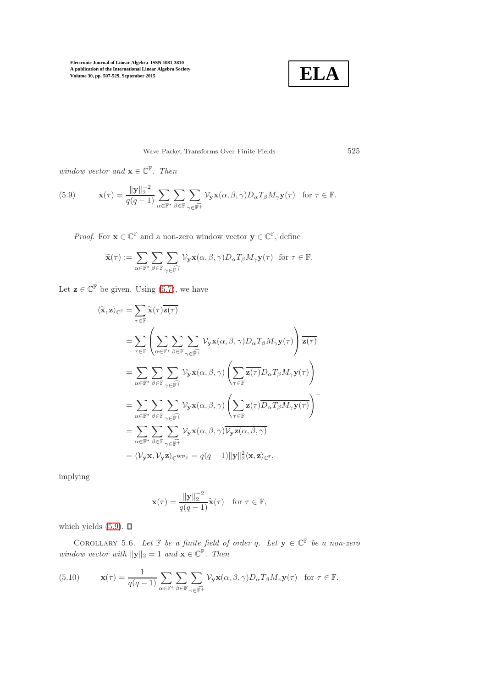

Wave Packet Transforms Over Finite Fields 525

window vector and  $\mathbf{x} \in \mathbb{C}^{\mathbb{F}}$ . Then

<span id="page-18-0"></span>(5.9) 
$$
\mathbf{x}(\tau) = \frac{\|\mathbf{y}\|_2^{-2}}{q(q-1)} \sum_{\alpha \in \mathbb{F}^*} \sum_{\beta \in \mathbb{F}} \sum_{\gamma \in \widehat{\mathbb{F}^+}} \mathcal{V}_{\mathbf{y}} \mathbf{x}(\alpha, \beta, \gamma) D_{\alpha} T_{\beta} M_{\gamma} \mathbf{y}(\tau) \text{ for } \tau \in \mathbb{F}.
$$

*Proof.* For  $\mathbf{x} \in \mathbb{C}^{\mathbb{F}}$  and a non-zero window vector  $\mathbf{y} \in \mathbb{C}^{\mathbb{F}}$ , define

$$
\widetilde{\mathbf{x}}(\tau):=\sum_{\alpha\in\mathbb{F}^*}\sum_{\beta\in\mathbb{F}}\sum_{\gamma\in\widehat{\mathbb{F}^+}}\mathcal{V}_{\mathbf{y}}\mathbf{x}(\alpha,\beta,\gamma)D_\alpha T_\beta M_\gamma \mathbf{y}(\tau)\ \ \text{for}\ \tau\in\mathbb{F}.
$$

Let  $\mathbf{z} \in \mathbb{C}^{\mathbb{F}}$  be given. Using [\(5.7\)](#page-17-0), we have

$$
\langle \widetilde{\mathbf{x}}, \mathbf{z} \rangle_{\mathbb{C}^{\mathbb{F}}} = \sum_{\tau \in \mathbb{F}} \widetilde{\mathbf{x}}(\tau) \overline{\mathbf{z}(\tau)}
$$
\n
$$
= \sum_{\tau \in \mathbb{F}} \left( \sum_{\alpha \in \mathbb{F}^*} \sum_{\beta \in \mathbb{F}} \sum_{\gamma \in \mathbb{F}^+} \mathcal{V}_{\mathbf{y}} \mathbf{x}(\alpha, \beta, \gamma) D_{\alpha} T_{\beta} M_{\gamma} \mathbf{y}(\tau) \right) \overline{\mathbf{z}(\tau)}
$$
\n
$$
= \sum_{\alpha \in \mathbb{F}^*} \sum_{\beta \in \mathbb{F}} \sum_{\gamma \in \mathbb{F}^+} \mathcal{V}_{\mathbf{y}} \mathbf{x}(\alpha, \beta, \gamma) \left( \sum_{\tau \in \mathbb{F}} \overline{\mathbf{z}(\tau)} D_{\alpha} T_{\beta} M_{\gamma} \mathbf{y}(\tau) \right)
$$
\n
$$
= \sum_{\alpha \in \mathbb{F}^*} \sum_{\beta \in \mathbb{F}} \sum_{\gamma \in \mathbb{F}^+} \mathcal{V}_{\mathbf{y}} \mathbf{x}(\alpha, \beta, \gamma) \left( \sum_{\tau \in \mathbb{F}} \mathbf{z}(\tau) \overline{D_{\alpha} T_{\beta} M_{\gamma} \mathbf{y}(\tau)} \right)^{-}
$$
\n
$$
= \sum_{\alpha \in \mathbb{F}^*} \sum_{\beta \in \mathbb{F}} \sum_{\gamma \in \mathbb{F}^+} \mathcal{V}_{\mathbf{y}} \mathbf{x}(\alpha, \beta, \gamma) \overline{\mathcal{V}_{\mathbf{y}} \mathbf{z}(\alpha, \beta, \gamma)}
$$
\n
$$
= \langle \mathcal{V}_{\mathbf{y}} \mathbf{x}, \mathcal{V}_{\mathbf{y}} \mathbf{z} \rangle_{\mathbb{C}^{\mathbf{W} \mathbf{P}}} = q(q-1) ||\mathbf{y}||_2^2 \langle \mathbf{x}, \mathbf{z} \rangle_{\mathbb{C}^{\mathbf{F}}},
$$

implying

$$
\mathbf{x}(\tau) = \frac{\|\mathbf{y}\|_2^{-2}}{q(q-1)}\widetilde{\mathbf{x}}(\tau) \quad \text{for } \tau \in \mathbb{F},
$$

which yields [\(5.9\)](#page-18-0).  $\square$ 

COROLLARY 5.6. Let  $\mathbb F$  be a finite field of order q. Let  $\mathbf y \in \mathbb C^{\mathbb F}$  be a non-zero window vector with  $\|\mathbf{y}\|_2 = 1$  and  $\mathbf{x} \in \mathbb{C}^{\mathbb{F}}$ . Then

(5.10) 
$$
\mathbf{x}(\tau) = \frac{1}{q(q-1)} \sum_{\alpha \in \mathbb{F}^*} \sum_{\beta \in \mathbb{F}} \sum_{\gamma \in \widehat{\mathbb{F}^+}} \mathcal{V}_{\mathbf{y}} \mathbf{x}(\alpha, \beta, \gamma) D_{\alpha} T_{\beta} M_{\gamma} \mathbf{y}(\tau) \text{ for } \tau \in \mathbb{F}.
$$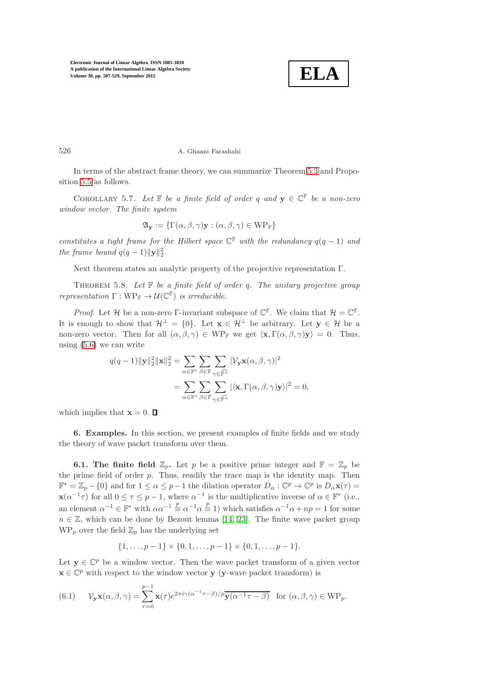

526 A. Ghaani Farashahi

In terms of the abstract frame theory, we can summarize Theorem [5.3](#page-16-1) and Proposition [5.5](#page-17-1) as follows.

COROLLARY 5.7. Let  $\mathbb F$  be a finite field of order q and  $\mathbf{y} \in \mathbb C^{\mathbb F}$  be a non-zero window vector. The finite system

$$
\mathfrak{A}_\mathbf{y}:=\{\Gamma(\alpha,\beta,\gamma)\mathbf{y}:(\alpha,\beta,\gamma)\in\mathrm{WP}_\mathbb{F}\}
$$

constitutes a tight frame for the Hilbert space  $\mathbb{C}^{\mathbb{F}}$  with the redundancy  $q(q-1)$  and the frame bound  $q(q-1) ||\mathbf{y}||_2^2$ .

Next theorem states an analytic property of the projective representation Γ.

THEOREM 5.8. Let  $\mathbb F$  be a finite field of order q. The unitary projective group representation  $\Gamma : \text{WP}_{\mathbb{F}} \to \mathcal{U}(\mathbb{C}^{\mathbb{F}})$  is irreducible.

*Proof.* Let  $\mathcal H$  be a non-zero  $\Gamma$ -invariant subspace of  $\mathbb C^{\mathbb F}$ . We claim that  $\mathcal H = \mathbb C^{\mathbb F}$ . It is enough to show that  $\mathcal{H}^{\perp} = \{0\}$ . Let  $\mathbf{x} \in \mathcal{H}^{\perp}$  be arbitrary. Let  $\mathbf{y} \in \mathcal{H}$  be a non-zero vector. Then for all  $(\alpha, \beta, \gamma) \in \text{WP}_{\mathbb{F}}$  we get  $\langle \mathbf{x}, \Gamma(\alpha, \beta, \gamma) \mathbf{y} \rangle = 0$ . Thus, using [\(5.6\)](#page-16-0) we can write

$$
q(q-1)\|\mathbf{y}\|_2^2 \|\mathbf{x}\|_2^2 = \sum_{\alpha \in \mathbb{F}^*} \sum_{\beta \in \mathbb{F}} \sum_{\gamma \in \widehat{\mathbb{F}^+}} |\mathcal{V}_{\mathbf{y}} \mathbf{x}(\alpha, \beta, \gamma)|^2
$$
  
= 
$$
\sum_{\alpha \in \mathbb{F}^*} \sum_{\beta \in \mathbb{F}} \sum_{\gamma \in \widehat{\mathbb{F}^+}} |\langle \mathbf{x}, \Gamma(\alpha, \beta, \gamma) \mathbf{y} \rangle|^2 = 0,
$$

which implies that  $\mathbf{x} = 0$ .

6. Examples. In this section, we present examples of finite fields and we study the theory of wave packet transform over them.

**6.1. The finite field**  $\mathbb{Z}_p$ . Let p be a positive prime integer and  $\mathbb{F} = \mathbb{Z}_p$  be the prime field of order p. Thus, readily the trace map is the identity map. Then  $\mathbb{F}^* = \mathbb{Z}_p - \{0\}$  and for  $1 \leq \alpha \leq p-1$  the dilation operator  $D_\alpha : \mathbb{C}^p \to \mathbb{C}^p$  is  $D_\alpha \mathbf{x}(\tau) =$  $\mathbf{x}(\alpha^{-1}\tau)$  for all  $0 \le \tau \le p-1$ , where  $\alpha^{-1}$  is the multiplicative inverse of  $\alpha \in \mathbb{F}^*$  (i.e., an element  $\alpha^{-1} \in \mathbb{F}^*$  with  $\alpha \alpha^{-1} \equiv \alpha^{-1} \alpha \equiv 1$ ) which satisfies  $\alpha^{-1} \alpha + np = 1$  for some  $n \in \mathbb{Z}$ , which can be done by Bezout lemma [\[14,](#page-21-20) [23\]](#page-21-22). The finite wave packet group  $WP_p$  over the field  $\mathbb{Z}_p$  has the underlying set

$$
\{1,\ldots,p-1\} \times \{0,1,\ldots,p-1\} \times \{0,1,\ldots,p-1\}.
$$

Let  $y \in \mathbb{C}^p$  be a window vector. Then the wave packet transform of a given vector  $\mathbf{x} \in \mathbb{C}^p$  with respect to the window vector  $\mathbf{y}$  (y-wave packet transform) is

(6.1) 
$$
\mathcal{V}_{\mathbf{y}}\mathbf{x}(\alpha,\beta,\gamma) = \sum_{\tau=0}^{p-1} \mathbf{x}(\tau) e^{2\pi i \gamma (\alpha^{-1}\tau-\beta)/p} \overline{\mathbf{y}(\alpha^{-1}\tau-\beta)} \text{ for } (\alpha,\beta,\gamma) \in \text{WP}_p.
$$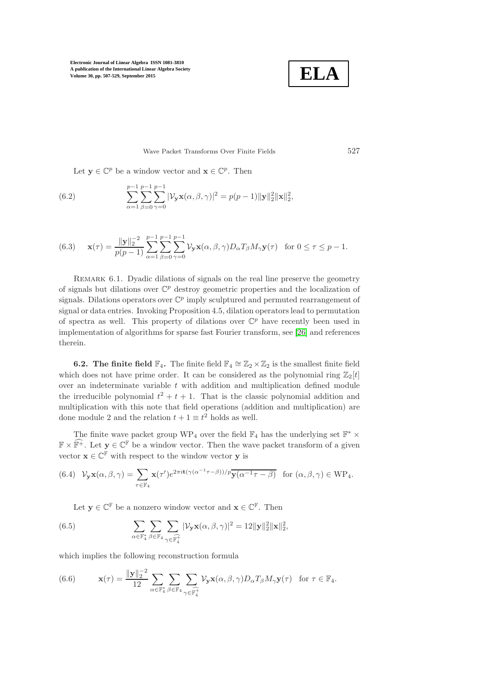

Wave Packet Transforms Over Finite Fields 527

Let  $\mathbf{y} \in \mathbb{C}^p$  be a window vector and  $\mathbf{x} \in \mathbb{C}^p$ . Then

(6.2) 
$$
\sum_{\alpha=1}^{p-1} \sum_{\beta=0}^{p-1} \sum_{\gamma=0}^{p-1} |\mathcal{V}_{\mathbf{y}} \mathbf{x}(\alpha, \beta, \gamma)|^2 = p(p-1) ||\mathbf{y}||_2^2 ||\mathbf{x}||_2^2,
$$

(6.3) 
$$
\mathbf{x}(\tau) = \frac{\|\mathbf{y}\|_2^{-2}}{p(p-1)} \sum_{\alpha=1}^{p-1} \sum_{\beta=0}^{p-1} \sum_{\gamma=0}^{p-1} \mathcal{V}_{\mathbf{y}} \mathbf{x}(\alpha, \beta, \gamma) D_{\alpha} T_{\beta} M_{\gamma} \mathbf{y}(\tau) \text{ for } 0 \le \tau \le p-1.
$$

REMARK 6.1. Dyadic dilations of signals on the real line preserve the geometry of signals but dilations over  $\mathbb{C}^p$  destroy geometric properties and the localization of signals. Dilations operators over  $\mathbb{C}^p$  imply sculptured and permuted rearrangement of signal or data entries. Invoking Proposition 4.5, dilation operators lead to permutation of spectra as well. This property of dilations over  $\mathbb{C}^p$  have recently been used in implementation of algorithms for sparse fast Fourier transform, see [\[26\]](#page-22-4) and references therein.

**6.2.** The finite field  $\mathbb{F}_4$ . The finite field  $\mathbb{F}_4 \cong \mathbb{Z}_2 \times \mathbb{Z}_2$  is the smallest finite field which does not have prime order. It can be considered as the polynomial ring  $\mathbb{Z}_2[t]$ over an indeterminate variable  $t$  with addition and multiplication defined module the irreducible polynomial  $t^2 + t + 1$ . That is the classic polynomial addition and multiplication with this note that field operations (addition and multiplication) are done module 2 and the relation  $t + 1 \equiv t^2$  holds as well.

The finite wave packet group WP<sub>4</sub> over the field  $\mathbb{F}_4$  has the underlying set  $\mathbb{F}^* \times$  $\mathbb{F} \times \widehat{\mathbb{F}^+}$ . Let  $y \in \mathbb{C}^{\mathbb{F}}$  be a window vector. Then the wave packet transform of a given vector  $\mathbf{x} \in \mathbb{C}^{\mathbb{F}}$  with respect to the window vector **y** is

(6.4) 
$$
V_{\mathbf{y}}\mathbf{x}(\alpha,\beta,\gamma) = \sum_{\tau \in \mathbb{F}_4} \mathbf{x}(\tau') e^{2\pi i \mathbf{t}(\gamma(\alpha^{-1}\tau-\beta))/p} \overline{\mathbf{y}(\alpha^{-1}\tau-\beta)}
$$
 for  $(\alpha,\beta,\gamma) \in \text{WP}_4$ .

Let  $\mathbf{y} \in \mathbb{C}^{\mathbb{F}}$  be a nonzero window vector and  $\mathbf{x} \in \mathbb{C}^{\mathbb{F}}$ . Then

(6.5) 
$$
\sum_{\alpha \in \mathbb{F}_4^*} \sum_{\beta \in \mathbb{F}_4} \sum_{\gamma \in \widehat{\mathbb{F}_4}^+} |\mathcal{V}_{\mathbf{y}} \mathbf{x}(\alpha, \beta, \gamma)|^2 = 12 \|\mathbf{y}\|_2^2 \|\mathbf{x}\|_2^2,
$$

which implies the following reconstruction formula

(6.6) 
$$
\mathbf{x}(\tau) = \frac{\|\mathbf{y}\|_2^{-2}}{12} \sum_{\alpha \in \mathbb{F}_4^*} \sum_{\beta \in \mathbb{F}_4} \sum_{\gamma \in \widehat{\mathbb{F}_4^+}} \mathcal{V}_{\mathbf{y}} \mathbf{x}(\alpha, \beta, \gamma) D_{\alpha} T_{\beta} M_{\gamma} \mathbf{y}(\tau) \text{ for } \tau \in \mathbb{F}_4.
$$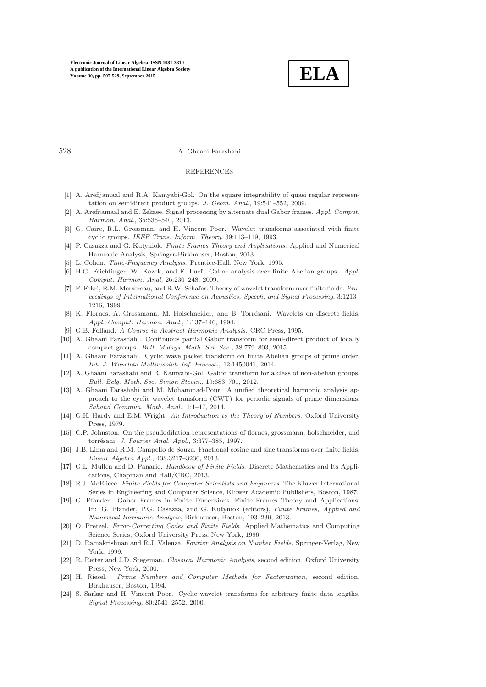

528 A. Ghaani Farashahi

#### REFERENCES

- <span id="page-21-23"></span><span id="page-21-8"></span>[1] A. Arefijamaal and R.A. Kamyabi-Gol. On the square integrability of quasi regular representation on semidirect product groups. J. Geom. Anal., 19:541–552, 2009.
- <span id="page-21-12"></span>[2] A. Arefijamaal and E. Zekaee. Signal processing by alternate dual Gabor frames. Appl. Comput. Harmon. Anal., 35:535–540, 2013.
- [3] G. Caire, R.L. Grossman, and H. Vincent Poor. Wavelet transforms associated with finite cyclic groups. IEEE Trans. Inform. Theory, 39:113–119, 1993.
- <span id="page-21-3"></span>[4] P. Casazza and G. Kutyniok. Finite Frames Theory and Applications. Applied and Numerical Harmonic Analysis, Springer-Birkhauser, Boston, 2013.
- <span id="page-21-6"></span><span id="page-21-4"></span>[5] L. Cohen. Time-Frequency Analysis. Prentice-Hall, New York, 1995.
- [6] H.G. Feichtinger, W. Kozek, and F. Luef. Gabor analysis over finite Abelian groups. Appl. Comput. Harmon. Anal. 26:230–248, 2009.
- <span id="page-21-14"></span>[7] F. Fekri, R.M. Mersereau, and R.W. Schafer. Theory of wavelet transform over finite fields. Proceedings of International Conference on Acoustics, Speech, and Signal Processing, 3:1213– 1216, 1999.
- <span id="page-21-15"></span>[8] K. Flornes, A. Grossmann, M. Holschneider, and B. Torrésani. Wavelets on discrete fields. Appl. Comput. Harmon. Anal., 1:137–146, 1994.
- <span id="page-21-18"></span><span id="page-21-9"></span>[9] G.B. Folland. A Course in Abstract Harmonic Analysis. CRC Press, 1995.
- [10] A. Ghaani Farashahi. Continuous partial Gabor transform for semi-direct product of locally compact groups. Bull. Malays. Math. Sci. Soc., 38:779–803, 2015.
- <span id="page-21-7"></span>[11] A. Ghaani Farashahi. Cyclic wave packet transform on finite Abelian groups of prime order. Int. J. Wavelets Multiresolut. Inf. Process., 12:1450041, 2014.
- <span id="page-21-10"></span>[12] A. Ghaani Farashahi and R. Kamyabi-Gol. Gabor transform for a class of non-abelian groups. Bull. Belg. Math. Soc. Simon Stevin., 19:683–701, 2012.
- <span id="page-21-16"></span>[13] A. Ghaani Farashahi and M. Mohammad-Pour. A unified theoretical harmonic analysis approach to the cyclic wavelet transform (CWT) for periodic signals of prime dimensions. Sahand Commun. Math. Anal., 1:1–17, 2014.
- <span id="page-21-20"></span>[14] G.H. Hardy and E.M. Wright. An Introduction to the Theory of Numbers. Oxford University Press, 1979.
- <span id="page-21-17"></span>[15] C.P. Johnston. On the pseudodilation representations of flornes, grossmann, holschneider, and torrésani. J. Fourier Anal. Appl., 3:377-385, 1997.
- <span id="page-21-5"></span>[16] J.B. Lima and R.M. Campello de Souza. Fractional cosine and sine transforms over finite fields. Linear Algebra Appl., 438:3217–3230, 2013.
- <span id="page-21-0"></span>[17] G.L. Mullen and D. Panario. *Handbook of Finite Fields*. Discrete Mathematics and Its Applications, Chapman and Hall/CRC, 2013.
- <span id="page-21-1"></span>[18] R.J. McEliece. Finite Fields for Computer Scientists and Engineers. The Kluwer International Series in Engineering and Computer Science, Kluwer Academic Publishers, Boston, 1987.
- <span id="page-21-11"></span>[19] G. Pfander. Gabor Frames in Finite Dimensions. Finite Frames Theory and Applications. In: G. Pfander, P.G. Casazza, and G. Kutyniok (editors), Finite Frames, Applied and Numerical Harmonic Analysis, Birkhauser, Boston, 193–239, 2013.
- <span id="page-21-2"></span>[20] O. Pretzel. Error-Correcting Codes and Finite Fields. Applied Mathematics and Computing Science Series, Oxford University Press, New York, 1996.
- <span id="page-21-21"></span>[21] D. Ramakrishnan and R.J. Valenza. Fourier Analysis on Number Fields. Springer-Verlag, New York, 1999.
- <span id="page-21-19"></span>[22] R. Reiter and J.D. Stegeman. Classical Harmonic Analysis, second edition. Oxford University Press, New York, 2000.
- <span id="page-21-22"></span>[23] H. Riesel. Prime Numbers and Computer Methods for Factorization, second edition. Birkhauser, Boston, 1994.
- <span id="page-21-13"></span>[24] S. Sarkar and H. Vincent Poor. Cyclic wavelet transforms for arbitrary finite data lengths. Signal Processing, 80:2541–2552, 2000.